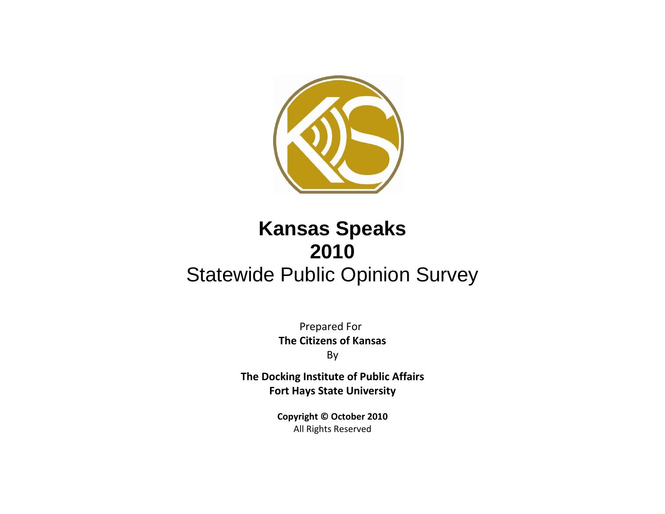

# **Kansas Speaks 2010** Statewide Public Opinion Survey

Prepared For **The Citizens of Kansas** By

**The Docking Institute of Public Affairs Fort Hays State University**

> **Copyright © October 2010** All Rights Reserved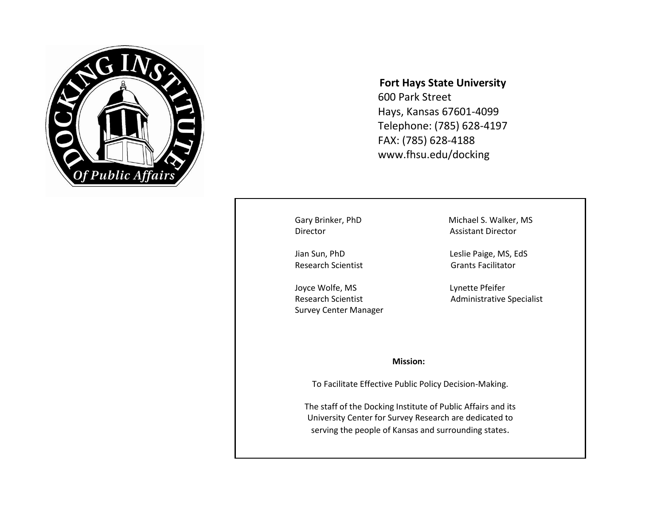

## **Fort Hays State University**

600 Park Street Hays, Kansas 67601-4099 Telephone: (785) 628-4197 FAX: (785) 628-4188 www.fhsu.edu/docking

**Director CONSERVING ASSISTANT DIRECTOR** 

Research Scientist Grants Facilitator

Joyce Wolfe, MS and Lynette Pfeifer Survey Center Manager

Gary Brinker, PhD Michael S. Walker, MS

Jian Sun, PhD Leslie Paige, MS, EdS

Research Scientist **Administrative Specialist** 

#### **Mission:**

To Facilitate Effective Public Policy Decision-Making.

The staff of the Docking Institute of Public Affairs and its University Center for Survey Research are dedicated to serving the people of Kansas and surrounding states.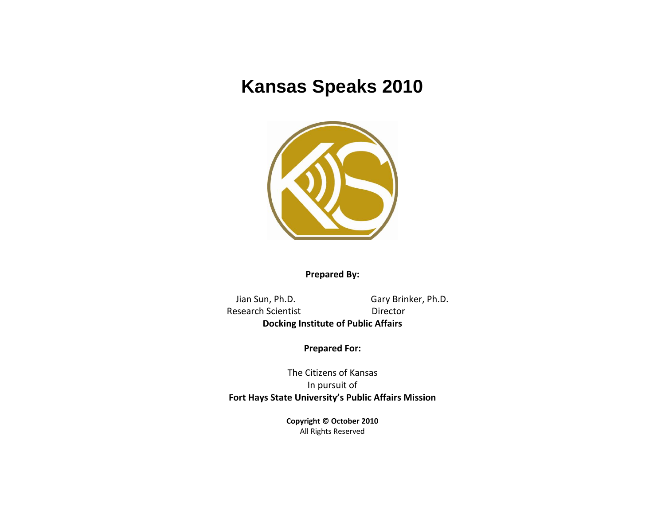## **Kansas Speaks 2010**



**Prepared By:**

 Jian Sun, Ph.D. Gary Brinker, Ph.D. Research Scientist **Director Docking Institute of Public Affairs**

**Prepared For:**

The Citizens of Kansas In pursuit of **Fort Hays State University's Public Affairs Mission**

> **Copyright © October 2010** All Rights Reserved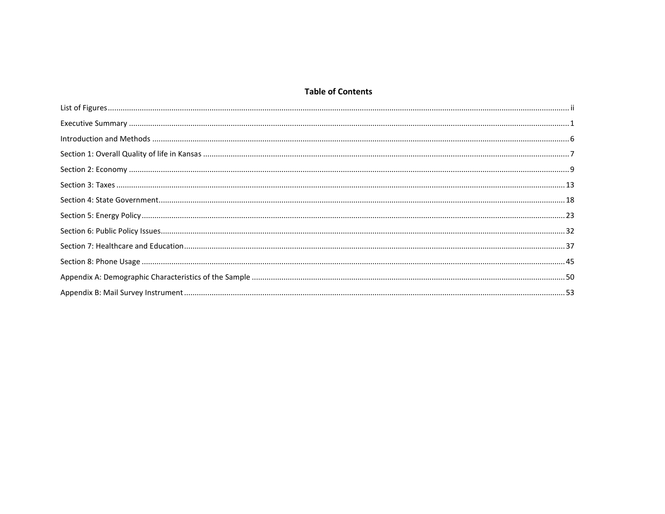## **Table of Contents**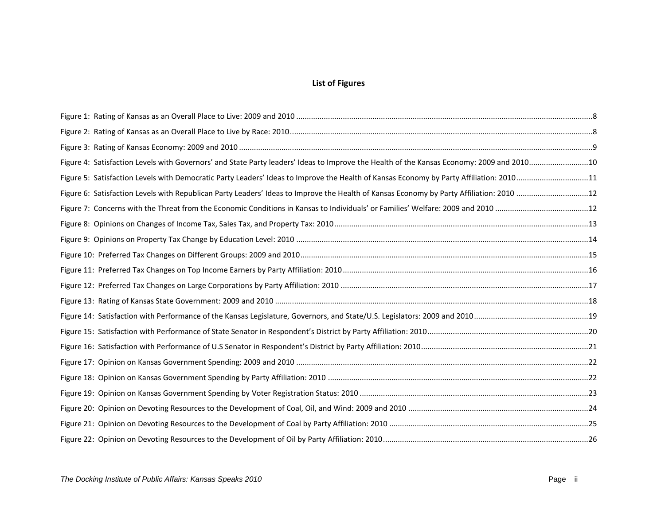## **List of Figures**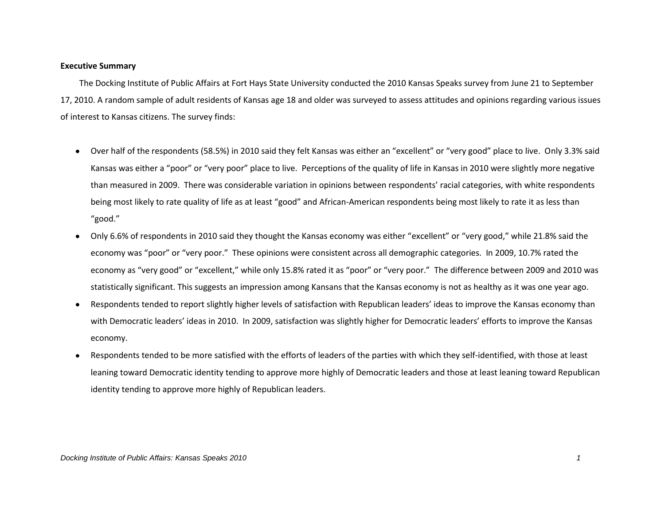#### **Executive Summary**

 The Docking Institute of Public Affairs at Fort Hays State University conducted the 2010 Kansas Speaks survey from June 21 to September 17, 2010. A random sample of adult residents of Kansas age 18 and older was surveyed to assess attitudes and opinions regarding various issues of interest to Kansas citizens. The survey finds:

- Over half of the respondents (58.5%) in 2010 said they felt Kansas was either an "excellent" or "very good" place to live. Only 3.3% said  $\bullet$ Kansas was either a "poor" or "very poor" place to live. Perceptions of the quality of life in Kansas in 2010 were slightly more negative than measured in 2009. There was considerable variation in opinions between respondents' racial categories, with white respondents being most likely to rate quality of life as at least "good" and African-American respondents being most likely to rate it as less than "good."
- Only 6.6% of respondents in 2010 said they thought the Kansas economy was either "excellent" or "very good," while 21.8% said the  $\bullet$ economy was "poor" or "very poor." These opinions were consistent across all demographic categories. In 2009, 10.7% rated the economy as "very good" or "excellent," while only 15.8% rated it as "poor" or "very poor." The difference between 2009 and 2010 was statistically significant. This suggests an impression among Kansans that the Kansas economy is not as healthy as it was one year ago.
- Respondents tended to report slightly higher levels of satisfaction with Republican leaders' ideas to improve the Kansas economy than  $\bullet$ with Democratic leaders' ideas in 2010. In 2009, satisfaction was slightly higher for Democratic leaders' efforts to improve the Kansas economy.
- Respondents tended to be more satisfied with the efforts of leaders of the parties with which they self-identified, with those at least  $\bullet$ leaning toward Democratic identity tending to approve more highly of Democratic leaders and those at least leaning toward Republican identity tending to approve more highly of Republican leaders.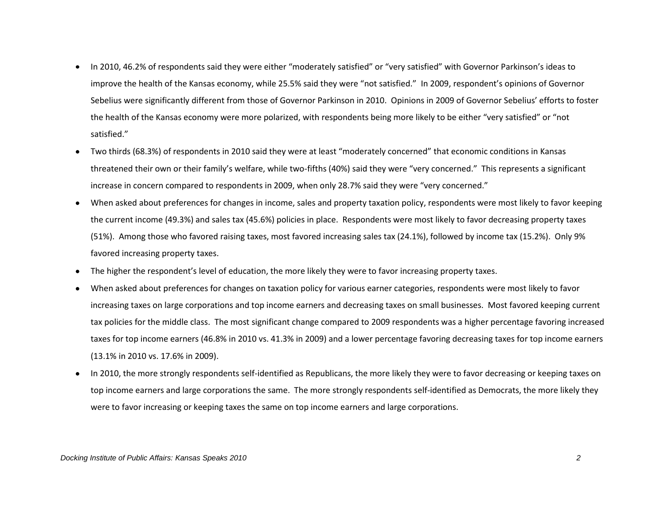- In 2010, 46.2% of respondents said they were either "moderately satisfied" or "very satisfied" with Governor Parkinson's ideas to  $\bullet$ improve the health of the Kansas economy, while 25.5% said they were "not satisfied." In 2009, respondent's opinions of Governor Sebelius were significantly different from those of Governor Parkinson in 2010. Opinions in 2009 of Governor Sebelius' efforts to foster the health of the Kansas economy were more polarized, with respondents being more likely to be either "very satisfied" or "not satisfied."
- Two thirds (68.3%) of respondents in 2010 said they were at least "moderately concerned" that economic conditions in Kansas  $\bullet$ threatened their own or their family's welfare, while two-fifths (40%) said they were "very concerned." This represents a significant increase in concern compared to respondents in 2009, when only 28.7% said they were "very concerned."
- When asked about preferences for changes in income, sales and property taxation policy, respondents were most likely to favor keeping  $\bullet$ the current income (49.3%) and sales tax (45.6%) policies in place. Respondents were most likely to favor decreasing property taxes (51%). Among those who favored raising taxes, most favored increasing sales tax (24.1%), followed by income tax (15.2%). Only 9% favored increasing property taxes.
- The higher the respondent's level of education, the more likely they were to favor increasing property taxes.  $\bullet$
- When asked about preferences for changes on taxation policy for various earner categories, respondents were most likely to favor increasing taxes on large corporations and top income earners and decreasing taxes on small businesses. Most favored keeping current tax policies for the middle class. The most significant change compared to 2009 respondents was a higher percentage favoring increased taxes for top income earners (46.8% in 2010 vs. 41.3% in 2009) and a lower percentage favoring decreasing taxes for top income earners (13.1% in 2010 vs. 17.6% in 2009).
- In 2010, the more strongly respondents self-identified as Republicans, the more likely they were to favor decreasing or keeping taxes on  $\bullet$ top income earners and large corporations the same. The more strongly respondents self-identified as Democrats, the more likely they were to favor increasing or keeping taxes the same on top income earners and large corporations.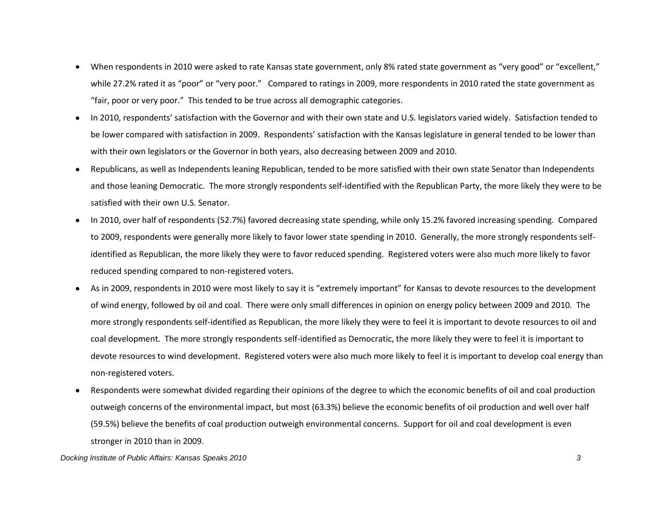- When respondents in 2010 were asked to rate Kansas state government, only 8% rated state government as "very good" or "excellent,"  $\bullet$ while 27.2% rated it as "poor" or "very poor." Compared to ratings in 2009, more respondents in 2010 rated the state government as "fair, poor or very poor." This tended to be true across all demographic categories.
- $\bullet$ In 2010, respondents' satisfaction with the Governor and with their own state and U.S. legislators varied widely. Satisfaction tended to be lower compared with satisfaction in 2009. Respondents' satisfaction with the Kansas legislature in general tended to be lower than with their own legislators or the Governor in both years, also decreasing between 2009 and 2010.
- Republicans, as well as Independents leaning Republican, tended to be more satisfied with their own state Senator than Independents  $\bullet$ and those leaning Democratic. The more strongly respondents self-identified with the Republican Party, the more likely they were to be satisfied with their own U.S. Senator.
- In 2010, over half of respondents (52.7%) favored decreasing state spending, while only 15.2% favored increasing spending. Compared  $\bullet$ to 2009, respondents were generally more likely to favor lower state spending in 2010. Generally, the more strongly respondents selfidentified as Republican, the more likely they were to favor reduced spending. Registered voters were also much more likely to favor reduced spending compared to non-registered voters.
- As in 2009, respondents in 2010 were most likely to say it is "extremely important" for Kansas to devote resources to the development  $\bullet$ of wind energy, followed by oil and coal. There were only small differences in opinion on energy policy between 2009 and 2010. The more strongly respondents self-identified as Republican, the more likely they were to feel it is important to devote resources to oil and coal development. The more strongly respondents self-identified as Democratic, the more likely they were to feel it is important to devote resources to wind development. Registered voters were also much more likely to feel it is important to develop coal energy than non-registered voters.
- Respondents were somewhat divided regarding their opinions of the degree to which the economic benefits of oil and coal production  $\bullet$ outweigh concerns of the environmental impact, but most (63.3%) believe the economic benefits of oil production and well over half (59.5%) believe the benefits of coal production outweigh environmental concerns. Support for oil and coal development is even stronger in 2010 than in 2009.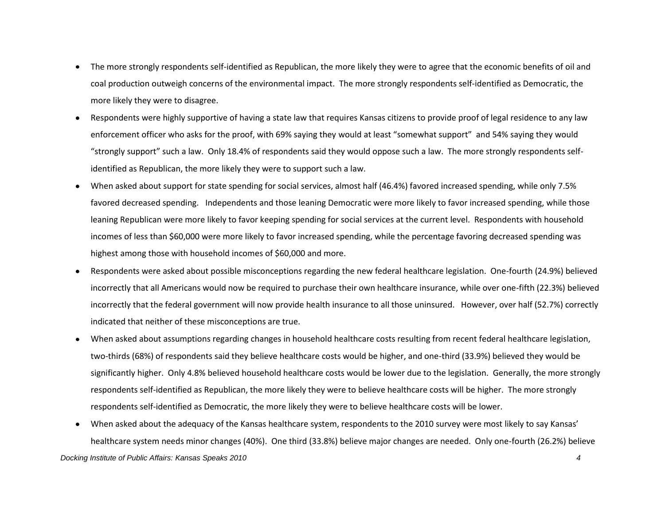- The more strongly respondents self-identified as Republican, the more likely they were to agree that the economic benefits of oil and  $\bullet$ coal production outweigh concerns of the environmental impact. The more strongly respondents self-identified as Democratic, the more likely they were to disagree.
- Respondents were highly supportive of having a state law that requires Kansas citizens to provide proof of legal residence to any law  $\bullet$ enforcement officer who asks for the proof, with 69% saying they would at least "somewhat support" and 54% saying they would "strongly support" such a law. Only 18.4% of respondents said they would oppose such a law. The more strongly respondents selfidentified as Republican, the more likely they were to support such a law.
- When asked about support for state spending for social services, almost half (46.4%) favored increased spending, while only 7.5%  $\bullet$ favored decreased spending. Independents and those leaning Democratic were more likely to favor increased spending, while those leaning Republican were more likely to favor keeping spending for social services at the current level. Respondents with household incomes of less than \$60,000 were more likely to favor increased spending, while the percentage favoring decreased spending was highest among those with household incomes of \$60,000 and more.
- Respondents were asked about possible misconceptions regarding the new federal healthcare legislation. One-fourth (24.9%) believed  $\bullet$ incorrectly that all Americans would now be required to purchase their own healthcare insurance, while over one-fifth (22.3%) believed incorrectly that the federal government will now provide health insurance to all those uninsured. However, over half (52.7%) correctly indicated that neither of these misconceptions are true.
- When asked about assumptions regarding changes in household healthcare costs resulting from recent federal healthcare legislation,  $\bullet$ two-thirds (68%) of respondents said they believe healthcare costs would be higher, and one-third (33.9%) believed they would be significantly higher. Only 4.8% believed household healthcare costs would be lower due to the legislation. Generally, the more strongly respondents self-identified as Republican, the more likely they were to believe healthcare costs will be higher. The more strongly respondents self-identified as Democratic, the more likely they were to believe healthcare costs will be lower.
- $\bullet$ When asked about the adequacy of the Kansas healthcare system, respondents to the 2010 survey were most likely to say Kansas' healthcare system needs minor changes (40%). One third (33.8%) believe major changes are needed. Only one-fourth (26.2%) believe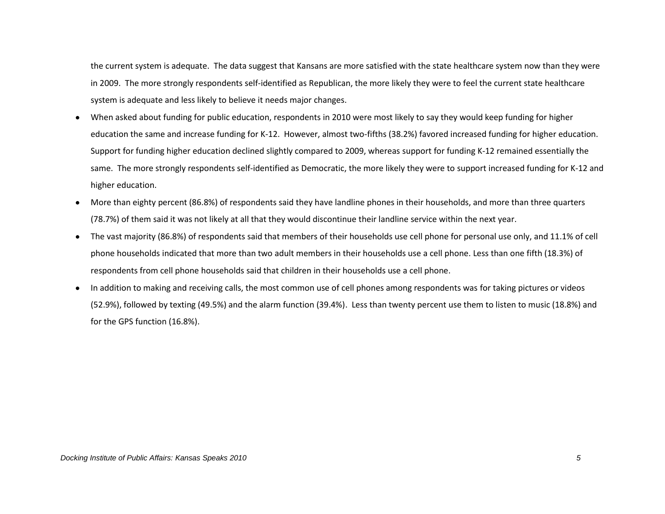the current system is adequate. The data suggest that Kansans are more satisfied with the state healthcare system now than they were in 2009. The more strongly respondents self-identified as Republican, the more likely they were to feel the current state healthcare system is adequate and less likely to believe it needs major changes.

- When asked about funding for public education, respondents in 2010 were most likely to say they would keep funding for higher  $\bullet$ education the same and increase funding for K-12. However, almost two-fifths (38.2%) favored increased funding for higher education. Support for funding higher education declined slightly compared to 2009, whereas support for funding K-12 remained essentially the same. The more strongly respondents self-identified as Democratic, the more likely they were to support increased funding for K-12 and higher education.
- More than eighty percent (86.8%) of respondents said they have landline phones in their households, and more than three quarters  $\bullet$ (78.7%) of them said it was not likely at all that they would discontinue their landline service within the next year.
- The vast majority (86.8%) of respondents said that members of their households use cell phone for personal use only, and 11.1% of cell  $\bullet$ phone households indicated that more than two adult members in their households use a cell phone. Less than one fifth (18.3%) of respondents from cell phone households said that children in their households use a cell phone.
- $\bullet$ In addition to making and receiving calls, the most common use of cell phones among respondents was for taking pictures or videos (52.9%), followed by texting (49.5%) and the alarm function (39.4%). Less than twenty percent use them to listen to music (18.8%) and for the GPS function (16.8%).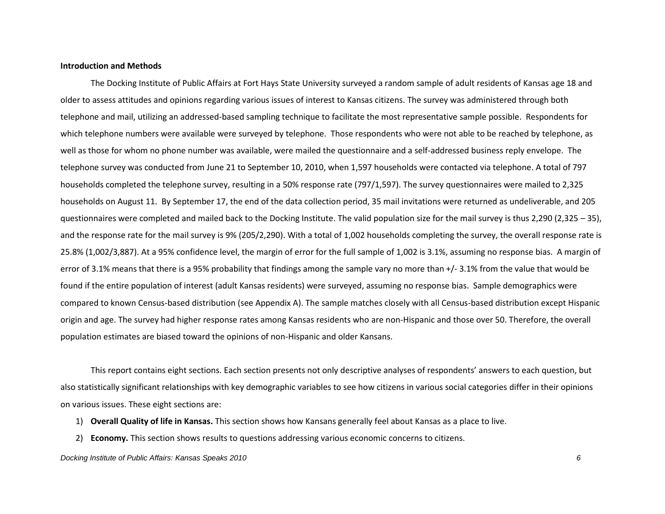#### **Introduction and Methods**

The Docking Institute of Public Affairs at Fort Hays State University surveyed a random sample of adult residents of Kansas age 18 and older to assess attitudes and opinions regarding various issues of interest to Kansas citizens. The survey was administered through both telephone and mail, utilizing an addressed-based sampling technique to facilitate the most representative sample possible. Respondents for which telephone numbers were available were surveyed by telephone. Those respondents who were not able to be reached by telephone, as well as those for whom no phone number was available, were mailed the questionnaire and a self-addressed business reply envelope. The telephone survey was conducted from June 21 to September 10, 2010, when 1,597 households were contacted via telephone. A total of 797 households completed the telephone survey, resulting in a 50% response rate (797/1,597). The survey questionnaires were mailed to 2,325 households on August 11. By September 17, the end of the data collection period, 35 mail invitations were returned as undeliverable, and 205 questionnaires were completed and mailed back to the Docking Institute. The valid population size for the mail survey is thus 2,290 (2,325 – 35), and the response rate for the mail survey is 9% (205/2,290). With a total of 1,002 households completing the survey, the overall response rate is 25.8% (1,002/3,887). At a 95% confidence level, the margin of error for the full sample of 1,002 is 3.1%, assuming no response bias. A margin of error of 3.1% means that there is a 95% probability that findings among the sample vary no more than +/- 3.1% from the value that would be found if the entire population of interest (adult Kansas residents) were surveyed, assuming no response bias. Sample demographics were compared to known Census-based distribution (see Appendix A). The sample matches closely with all Census-based distribution except Hispanic origin and age. The survey had higher response rates among Kansas residents who are non-Hispanic and those over 50. Therefore, the overall population estimates are biased toward the opinions of non-Hispanic and older Kansans.

This report contains eight sections. Each section presents not only descriptive analyses of respondents' answers to each question, but also statistically significant relationships with key demographic variables to see how citizens in various social categories differ in their opinions on various issues. These eight sections are:

- 1) **Overall Quality of life in Kansas.** This section shows how Kansans generally feel about Kansas as a place to live.
- 2) **Economy.** This section shows results to questions addressing various economic concerns to citizens.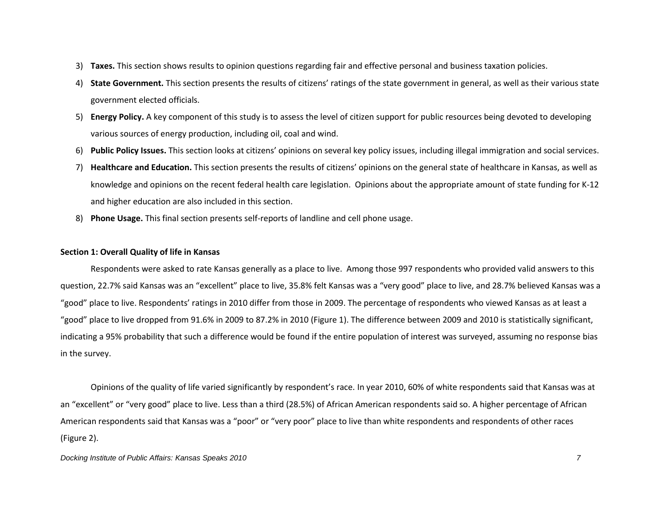- 3) **Taxes.** This section shows results to opinion questions regarding fair and effective personal and business taxation policies.
- 4) **State Government.** This section presents the results of citizens' ratings of the state government in general, as well as their various state government elected officials.
- 5) **Energy Policy.** A key component of this study is to assess the level of citizen support for public resources being devoted to developing various sources of energy production, including oil, coal and wind.
- 6) **Public Policy Issues.** This section looks at citizens' opinions on several key policy issues, including illegal immigration and social services.
- 7) **Healthcare and Education.** This section presents the results of citizens' opinions on the general state of healthcare in Kansas, as well as knowledge and opinions on the recent federal health care legislation. Opinions about the appropriate amount of state funding for K-12 and higher education are also included in this section.
- 8) **Phone Usage.** This final section presents self-reports of landline and cell phone usage.

#### **Section 1: Overall Quality of life in Kansas**

Respondents were asked to rate Kansas generally as a place to live. Among those 997 respondents who provided valid answers to this question, 22.7% said Kansas was an "excellent" place to live, 35.8% felt Kansas was a "very good" place to live, and 28.7% believed Kansas was a "good" place to live. Respondents' ratings in 2010 differ from those in 2009. The percentage of respondents who viewed Kansas as at least a "good" place to live dropped from 91.6% in 2009 to 87.2% in 2010 (Figure 1). The difference between 2009 and 2010 is statistically significant, indicating a 95% probability that such a difference would be found if the entire population of interest was surveyed, assuming no response bias in the survey.

Opinions of the quality of life varied significantly by respondent's race. In year 2010, 60% of white respondents said that Kansas was at an "excellent" or "very good" place to live. Less than a third (28.5%) of African American respondents said so. A higher percentage of African American respondents said that Kansas was a "poor" or "very poor" place to live than white respondents and respondents of other races (Figure 2).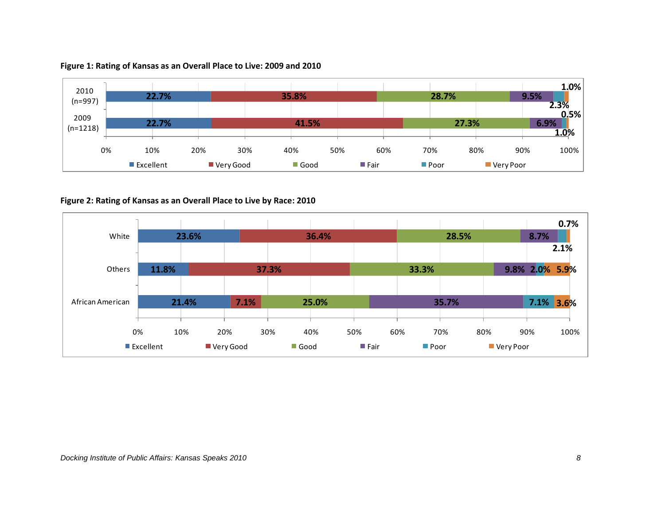

## **Figure 1: Rating of Kansas as an Overall Place to Live: 2009 and 2010**

## **Figure 2: Rating of Kansas as an Overall Place to Live by Race: 2010**

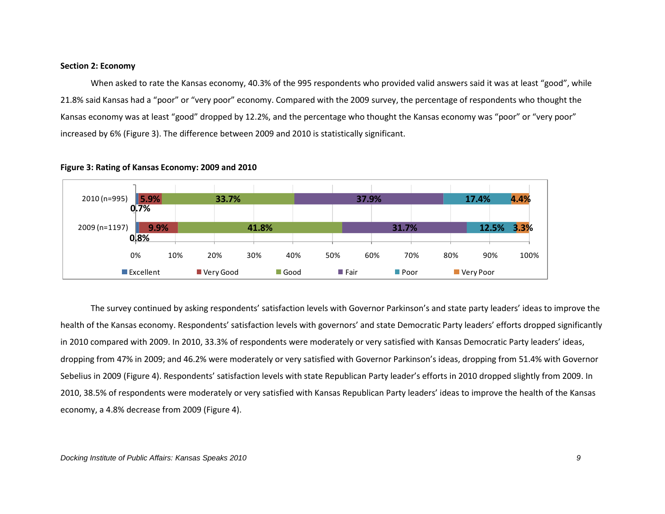#### **Section 2: Economy**

When asked to rate the Kansas economy, 40.3% of the 995 respondents who provided valid answers said it was at least "good", while 21.8% said Kansas had a "poor" or "very poor" economy. Compared with the 2009 survey, the percentage of respondents who thought the Kansas economy was at least "good" dropped by 12.2%, and the percentage who thought the Kansas economy was "poor" or "very poor" increased by 6% (Figure 3). The difference between 2009 and 2010 is statistically significant.



#### **Figure 3: Rating of Kansas Economy: 2009 and 2010**

The survey continued by asking respondents' satisfaction levels with Governor Parkinson's and state party leaders' ideas to improve the health of the Kansas economy. Respondents' satisfaction levels with governors' and state Democratic Party leaders' efforts dropped significantly in 2010 compared with 2009. In 2010, 33.3% of respondents were moderately or very satisfied with Kansas Democratic Party leaders' ideas, dropping from 47% in 2009; and 46.2% were moderately or very satisfied with Governor Parkinson's ideas, dropping from 51.4% with Governor Sebelius in 2009 (Figure 4). Respondents' satisfaction levels with state Republican Party leader's efforts in 2010 dropped slightly from 2009. In 2010, 38.5% of respondents were moderately or very satisfied with Kansas Republican Party leaders' ideas to improve the health of the Kansas economy, a 4.8% decrease from 2009 (Figure 4).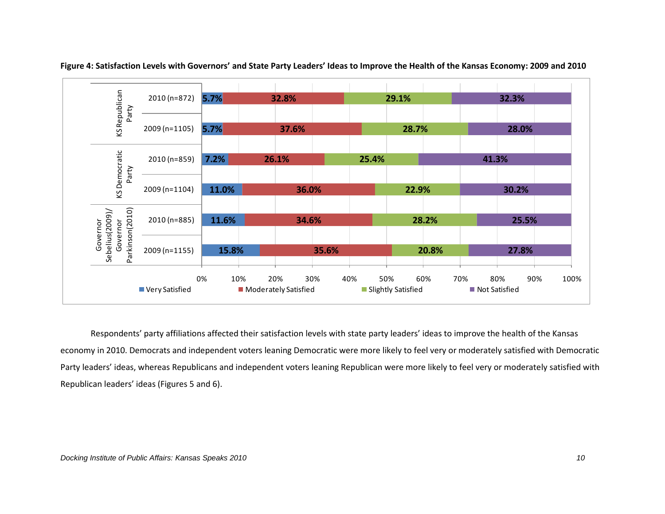

**Figure 4: Satisfaction Levels with Governors' and State Party Leaders' Ideas to Improve the Health of the Kansas Economy: 2009 and 2010**

Respondents' party affiliations affected their satisfaction levels with state party leaders' ideas to improve the health of the Kansas economy in 2010. Democrats and independent voters leaning Democratic were more likely to feel very or moderately satisfied with Democratic Party leaders' ideas, whereas Republicans and independent voters leaning Republican were more likely to feel very or moderately satisfied with Republican leaders' ideas (Figures 5 and 6).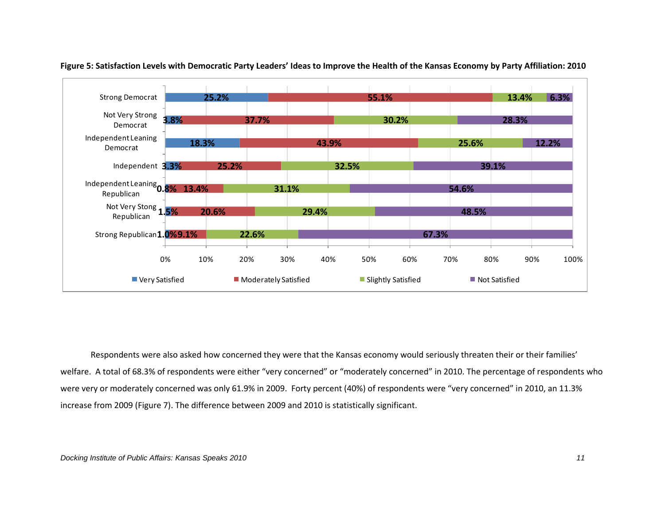



Respondents were also asked how concerned they were that the Kansas economy would seriously threaten their or their families' welfare. A total of 68.3% of respondents were either "very concerned" or "moderately concerned" in 2010. The percentage of respondents who were very or moderately concerned was only 61.9% in 2009. Forty percent (40%) of respondents were "very concerned" in 2010, an 11.3% increase from 2009 (Figure 7). The difference between 2009 and 2010 is statistically significant.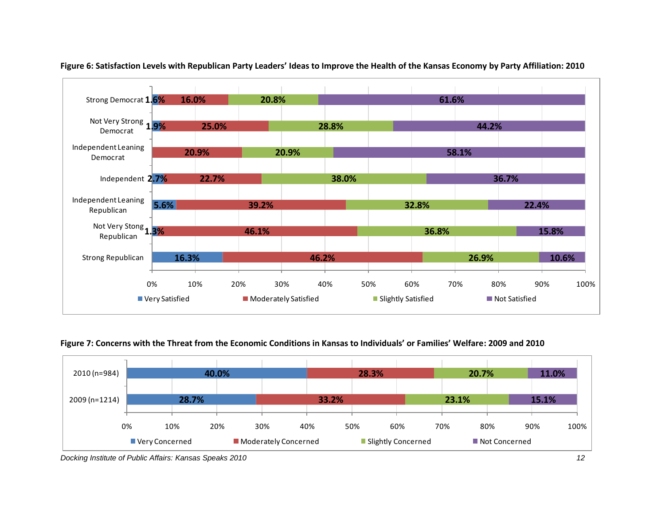

## **Figure 6: Satisfaction Levels with Republican Party Leaders' Ideas to Improve the Health of the Kansas Economy by Party Affiliation: 2010**

**Figure 7: Concerns with the Threat from the Economic Conditions in Kansas to Individuals' or Families' Welfare: 2009 and 2010**



*Docking Institute of Public Affairs: Kansas Speaks 2010 12*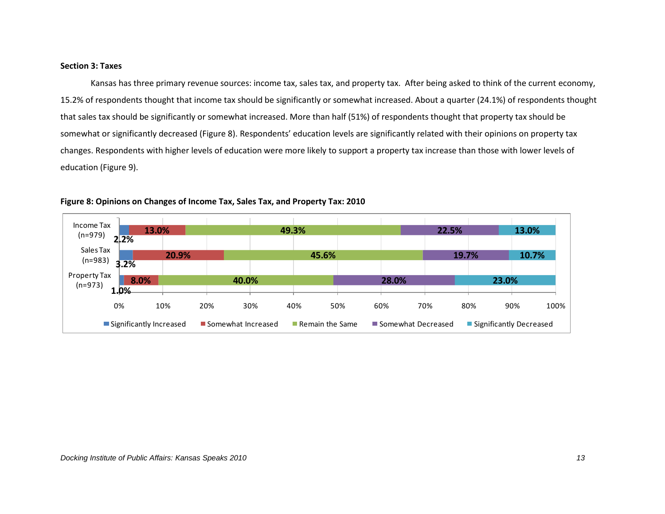#### **Section 3: Taxes**

Kansas has three primary revenue sources: income tax, sales tax, and property tax. After being asked to think of the current economy, 15.2% of respondents thought that income tax should be significantly or somewhat increased. About a quarter (24.1%) of respondents thought that sales tax should be significantly or somewhat increased. More than half (51%) of respondents thought that property tax should be somewhat or significantly decreased (Figure 8). Respondents' education levels are significantly related with their opinions on property tax changes. Respondents with higher levels of education were more likely to support a property tax increase than those with lower levels of education (Figure 9).



**Figure 8: Opinions on Changes of Income Tax, Sales Tax, and Property Tax: 2010**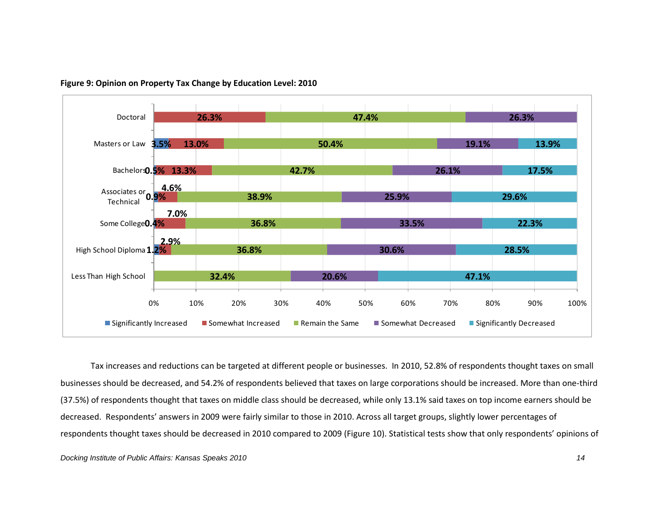

**Figure 9: Opinion on Property Tax Change by Education Level: 2010**

Tax increases and reductions can be targeted at different people or businesses. In 2010, 52.8% of respondents thought taxes on small businesses should be decreased, and 54.2% of respondents believed that taxes on large corporations should be increased. More than one-third (37.5%) of respondents thought that taxes on middle class should be decreased, while only 13.1% said taxes on top income earners should be decreased. Respondents' answers in 2009 were fairly similar to those in 2010. Across all target groups, slightly lower percentages of respondents thought taxes should be decreased in 2010 compared to 2009 (Figure 10). Statistical tests show that only respondents' opinions of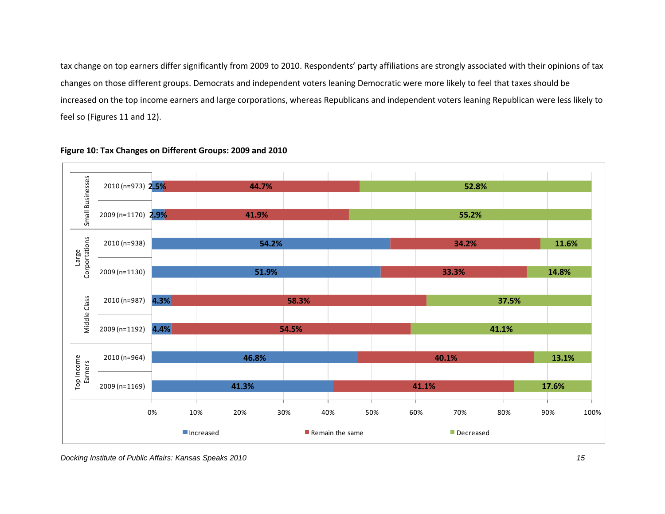tax change on top earners differ significantly from 2009 to 2010. Respondents' party affiliations are strongly associated with their opinions of tax changes on those different groups. Democrats and independent voters leaning Democratic were more likely to feel that taxes should be increased on the top income earners and large corporations, whereas Republicans and independent voters leaning Republican were less likely to feel so (Figures 11 and 12).



#### **Figure 10: Tax Changes on Different Groups: 2009 and 2010**

*Docking Institute of Public Affairs: Kansas Speaks 2010 15*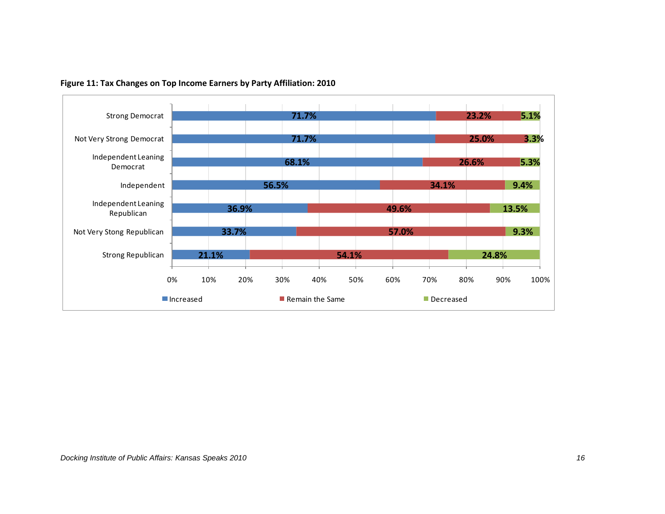

## **Figure 11: Tax Changes on Top Income Earners by Party Affiliation: 2010**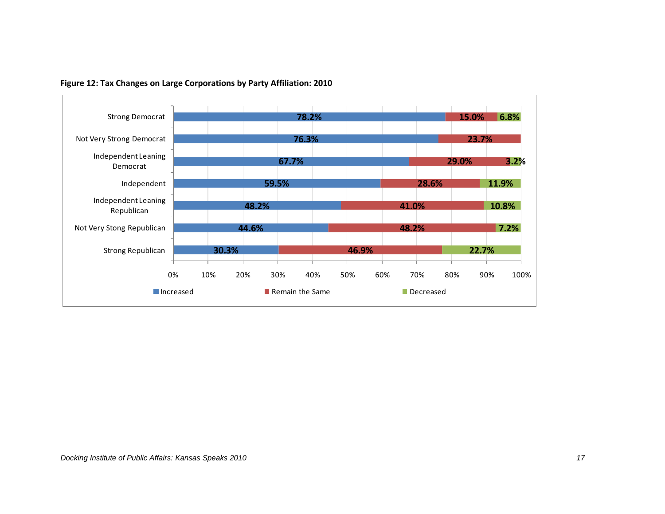

**Figure 12: Tax Changes on Large Corporations by Party Affiliation: 2010**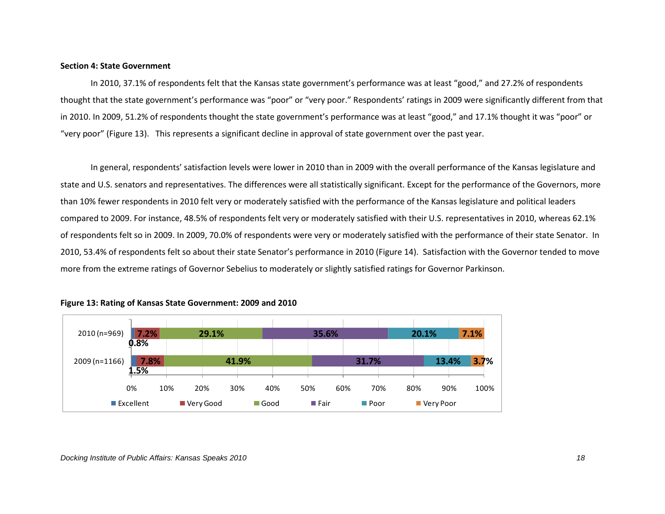#### **Section 4: State Government**

In 2010, 37.1% of respondents felt that the Kansas state government's performance was at least "good," and 27.2% of respondents thought that the state government's performance was "poor" or "very poor." Respondents' ratings in 2009 were significantly different from that in 2010. In 2009, 51.2% of respondents thought the state government's performance was at least "good," and 17.1% thought it was "poor" or "very poor" (Figure 13). This represents a significant decline in approval of state government over the past year.

In general, respondents' satisfaction levels were lower in 2010 than in 2009 with the overall performance of the Kansas legislature and state and U.S. senators and representatives. The differences were all statistically significant. Except for the performance of the Governors, more than 10% fewer respondents in 2010 felt very or moderately satisfied with the performance of the Kansas legislature and political leaders compared to 2009. For instance, 48.5% of respondents felt very or moderately satisfied with their U.S. representatives in 2010, whereas 62.1% of respondents felt so in 2009. In 2009, 70.0% of respondents were very or moderately satisfied with the performance of their state Senator. In 2010, 53.4% of respondents felt so about their state Senator's performance in 2010 (Figure 14). Satisfaction with the Governor tended to move more from the extreme ratings of Governor Sebelius to moderately or slightly satisfied ratings for Governor Parkinson.



#### **Figure 13: Rating of Kansas State Government: 2009 and 2010**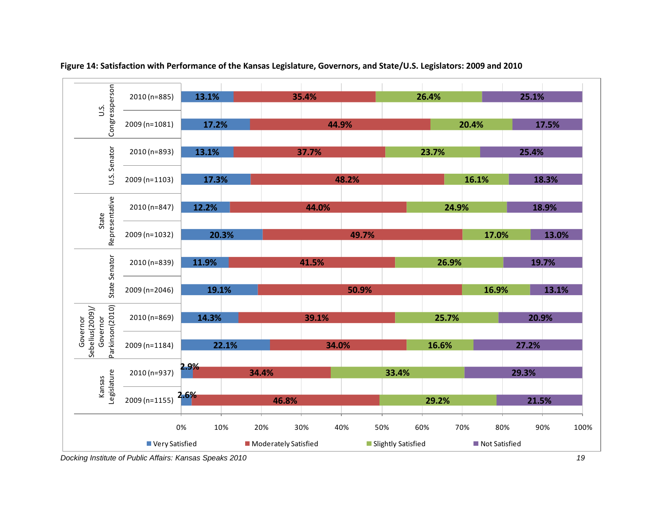

**Figure 14: Satisfaction with Performance of the Kansas Legislature, Governors, and State/U.S. Legislators: 2009 and 2010**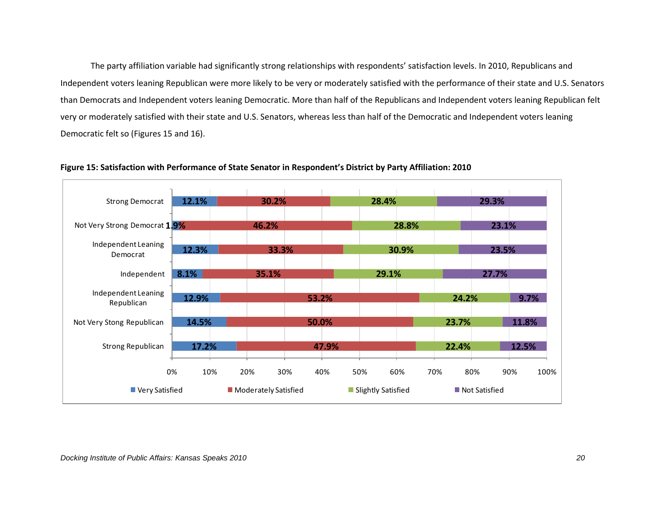The party affiliation variable had significantly strong relationships with respondents' satisfaction levels. In 2010, Republicans and Independent voters leaning Republican were more likely to be very or moderately satisfied with the performance of their state and U.S. Senators than Democrats and Independent voters leaning Democratic. More than half of the Republicans and Independent voters leaning Republican felt very or moderately satisfied with their state and U.S. Senators, whereas less than half of the Democratic and Independent voters leaning Democratic felt so (Figures 15 and 16).



**Figure 15: Satisfaction with Performance of State Senator in Respondent's District by Party Affiliation: 2010**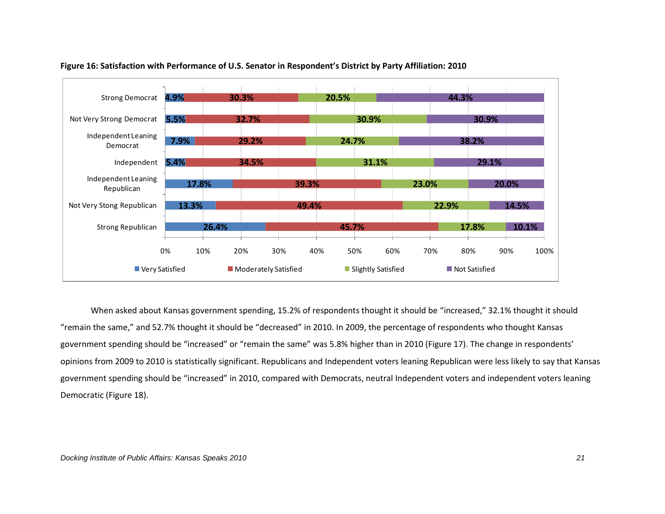

#### **Figure 16: Satisfaction with Performance of U.S. Senator in Respondent's District by Party Affiliation: 2010**

When asked about Kansas government spending, 15.2% of respondents thought it should be "increased," 32.1% thought it should "remain the same," and 52.7% thought it should be "decreased" in 2010. In 2009, the percentage of respondents who thought Kansas government spending should be "increased" or "remain the same" was 5.8% higher than in 2010 (Figure 17). The change in respondents' opinions from 2009 to 2010 is statistically significant. Republicans and Independent voters leaning Republican were less likely to say that Kansas government spending should be "increased" in 2010, compared with Democrats, neutral Independent voters and independent voters leaning Democratic (Figure 18).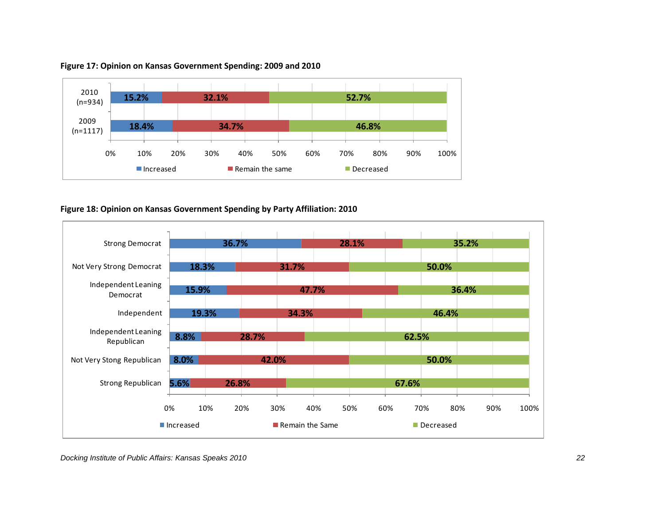

#### **Figure 17: Opinion on Kansas Government Spending: 2009 and 2010**

## **Figure 18: Opinion on Kansas Government Spending by Party Affiliation: 2010**

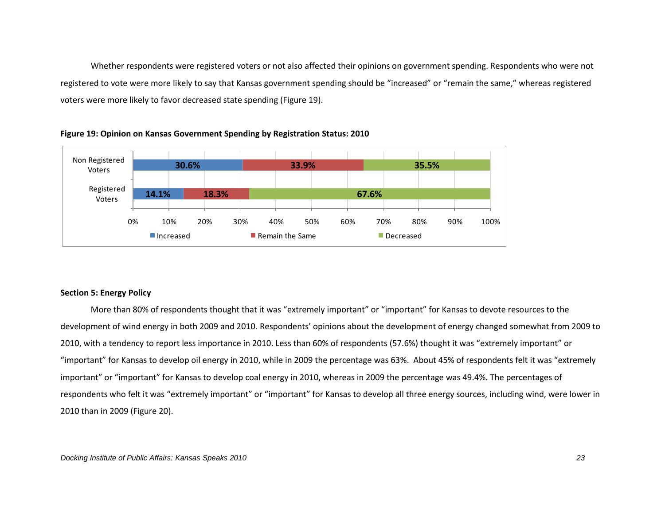Whether respondents were registered voters or not also affected their opinions on government spending. Respondents who were not registered to vote were more likely to say that Kansas government spending should be "increased" or "remain the same," whereas registered voters were more likely to favor decreased state spending (Figure 19).





## **Section 5: Energy Policy**

More than 80% of respondents thought that it was "extremely important" or "important" for Kansas to devote resources to the development of wind energy in both 2009 and 2010. Respondents' opinions about the development of energy changed somewhat from 2009 to 2010, with a tendency to report less importance in 2010. Less than 60% of respondents (57.6%) thought it was "extremely important" or "important" for Kansas to develop oil energy in 2010, while in 2009 the percentage was 63%. About 45% of respondents felt it was "extremely important" or "important" for Kansas to develop coal energy in 2010, whereas in 2009 the percentage was 49.4%. The percentages of respondents who felt it was "extremely important" or "important" for Kansas to develop all three energy sources, including wind, were lower in 2010 than in 2009 (Figure 20).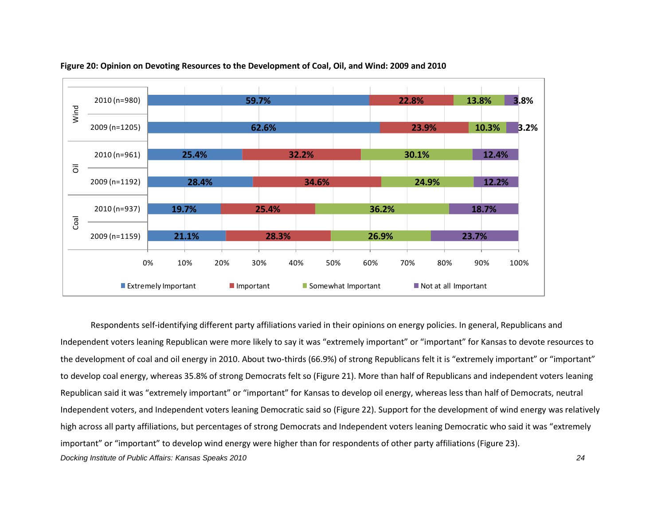

#### **Figure 20: Opinion on Devoting Resources to the Development of Coal, Oil, and Wind: 2009 and 2010**

*Docking Institute of Public Affairs: Kansas Speaks 2010 24*  Respondents self-identifying different party affiliations varied in their opinions on energy policies. In general, Republicans and Independent voters leaning Republican were more likely to say it was "extremely important" or "important" for Kansas to devote resources to the development of coal and oil energy in 2010. About two-thirds (66.9%) of strong Republicans felt it is "extremely important" or "important" to develop coal energy, whereas 35.8% of strong Democrats felt so (Figure 21). More than half of Republicans and independent voters leaning Republican said it was "extremely important" or "important" for Kansas to develop oil energy, whereas less than half of Democrats, neutral Independent voters, and Independent voters leaning Democratic said so (Figure 22). Support for the development of wind energy was relatively high across all party affiliations, but percentages of strong Democrats and Independent voters leaning Democratic who said it was "extremely important" or "important" to develop wind energy were higher than for respondents of other party affiliations (Figure 23).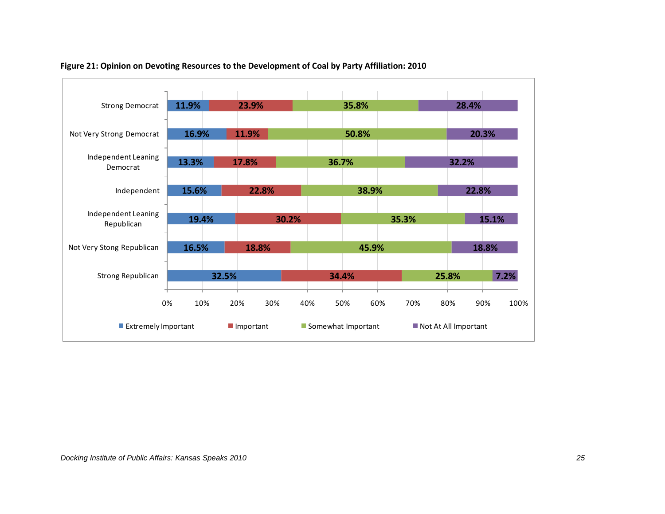

#### **Figure 21: Opinion on Devoting Resources to the Development of Coal by Party Affiliation: 2010**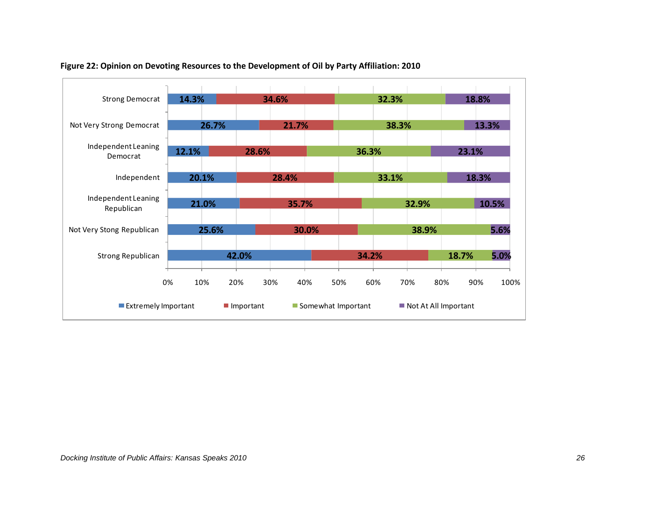

#### **Figure 22: Opinion on Devoting Resources to the Development of Oil by Party Affiliation: 2010**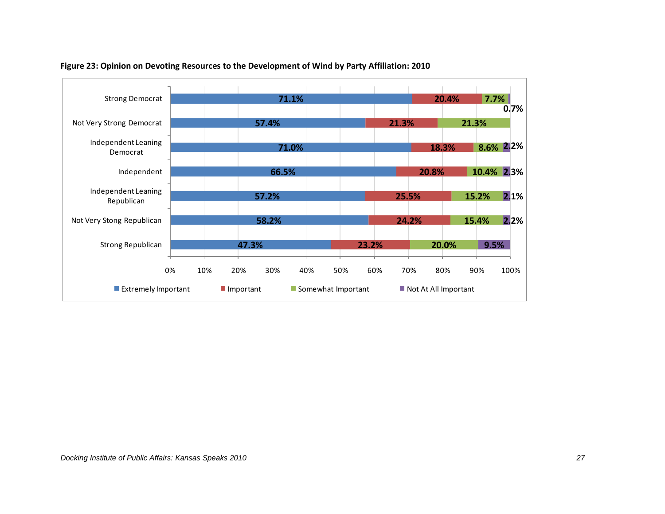

#### **Figure 23: Opinion on Devoting Resources to the Development of Wind by Party Affiliation: 2010**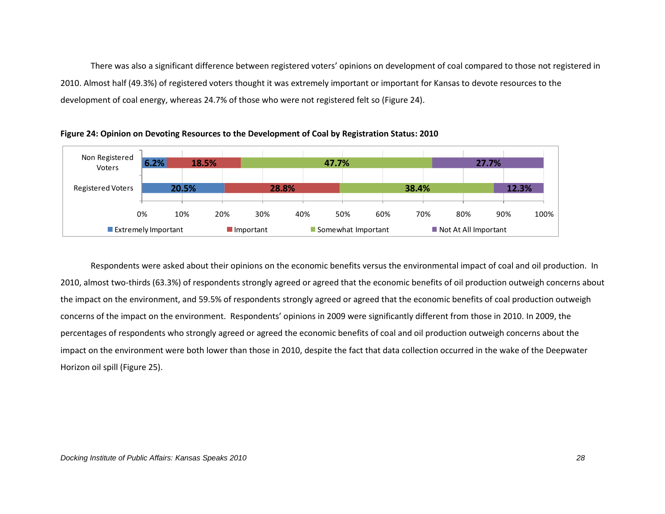There was also a significant difference between registered voters' opinions on development of coal compared to those not registered in 2010. Almost half (49.3%) of registered voters thought it was extremely important or important for Kansas to devote resources to the development of coal energy, whereas 24.7% of those who were not registered felt so (Figure 24).



**Figure 24: Opinion on Devoting Resources to the Development of Coal by Registration Status: 2010**

Respondents were asked about their opinions on the economic benefits versus the environmental impact of coal and oil production. In 2010, almost two-thirds (63.3%) of respondents strongly agreed or agreed that the economic benefits of oil production outweigh concerns about the impact on the environment, and 59.5% of respondents strongly agreed or agreed that the economic benefits of coal production outweigh concerns of the impact on the environment. Respondents' opinions in 2009 were significantly different from those in 2010. In 2009, the percentages of respondents who strongly agreed or agreed the economic benefits of coal and oil production outweigh concerns about the impact on the environment were both lower than those in 2010, despite the fact that data collection occurred in the wake of the Deepwater Horizon oil spill (Figure 25).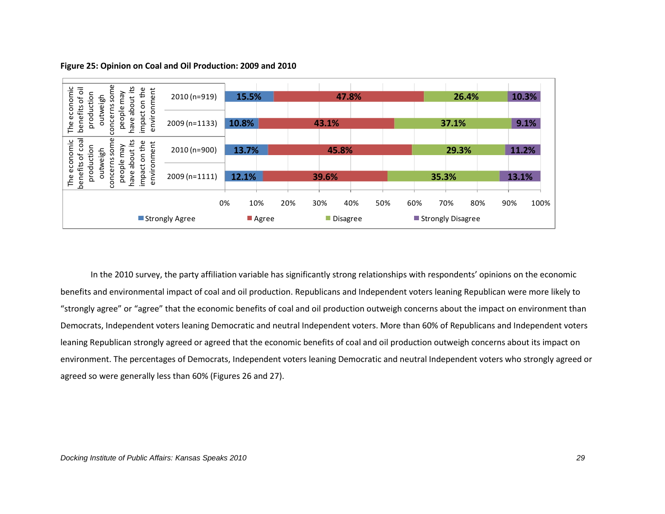

#### **Figure 25: Opinion on Coal and Oil Production: 2009 and 2010**

In the 2010 survey, the party affiliation variable has significantly strong relationships with respondents' opinions on the economic benefits and environmental impact of coal and oil production. Republicans and Independent voters leaning Republican were more likely to "strongly agree" or "agree" that the economic benefits of coal and oil production outweigh concerns about the impact on environment than Democrats, Independent voters leaning Democratic and neutral Independent voters. More than 60% of Republicans and Independent voters leaning Republican strongly agreed or agreed that the economic benefits of coal and oil production outweigh concerns about its impact on environment. The percentages of Democrats, Independent voters leaning Democratic and neutral Independent voters who strongly agreed or agreed so were generally less than 60% (Figures 26 and 27).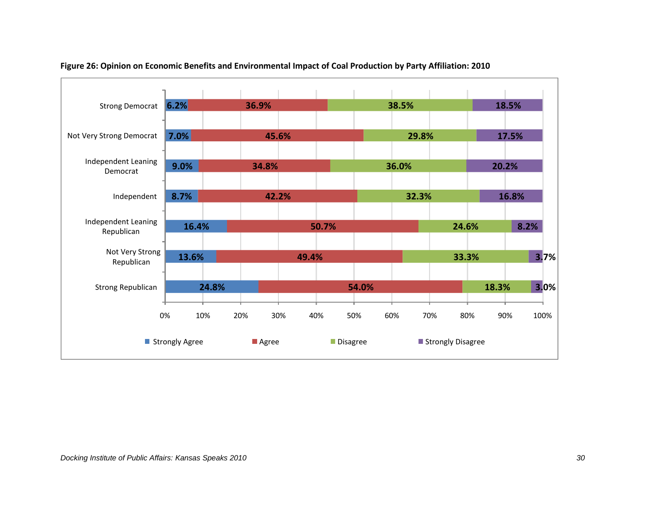

#### **Figure 26: Opinion on Economic Benefits and Environmental Impact of Coal Production by Party Affiliation: 2010**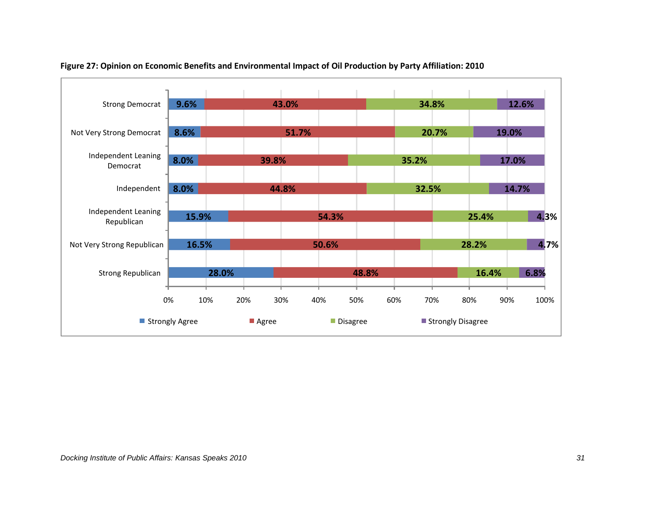

## **Figure 27: Opinion on Economic Benefits and Environmental Impact of Oil Production by Party Affiliation: 2010**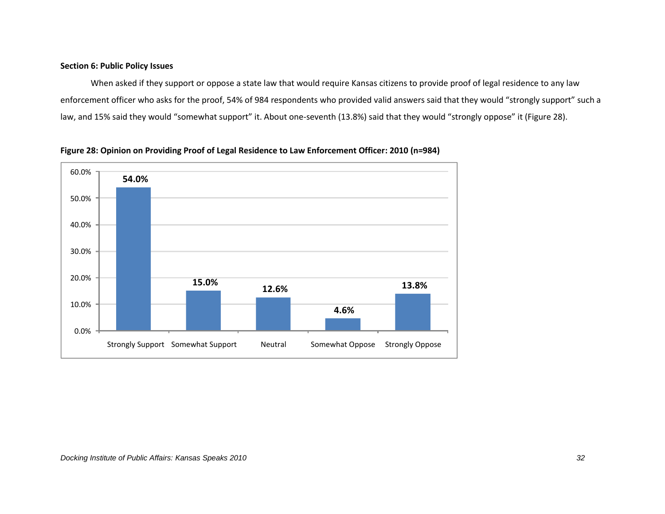## **Section 6: Public Policy Issues**

When asked if they support or oppose a state law that would require Kansas citizens to provide proof of legal residence to any law enforcement officer who asks for the proof, 54% of 984 respondents who provided valid answers said that they would "strongly support" such a law, and 15% said they would "somewhat support" it. About one-seventh (13.8%) said that they would "strongly oppose" it (Figure 28).



**Figure 28: Opinion on Providing Proof of Legal Residence to Law Enforcement Officer: 2010 (n=984)**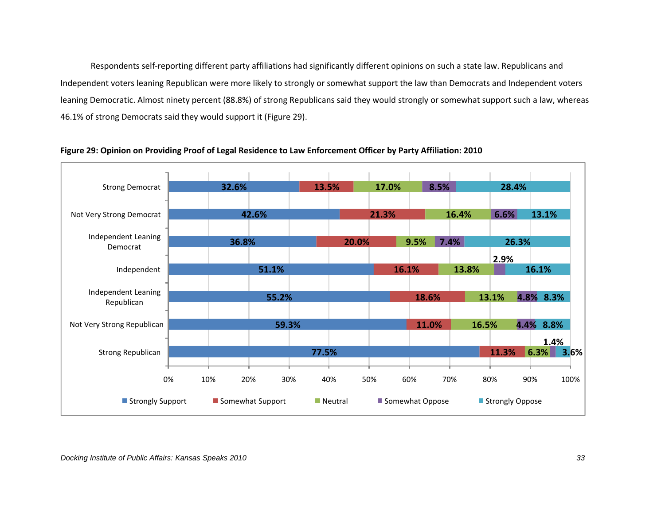Respondents self-reporting different party affiliations had significantly different opinions on such a state law. Republicans and Independent voters leaning Republican were more likely to strongly or somewhat support the law than Democrats and Independent voters leaning Democratic. Almost ninety percent (88.8%) of strong Republicans said they would strongly or somewhat support such a law, whereas 46.1% of strong Democrats said they would support it (Figure 29).



**Figure 29: Opinion on Providing Proof of Legal Residence to Law Enforcement Officer by Party Affiliation: 2010**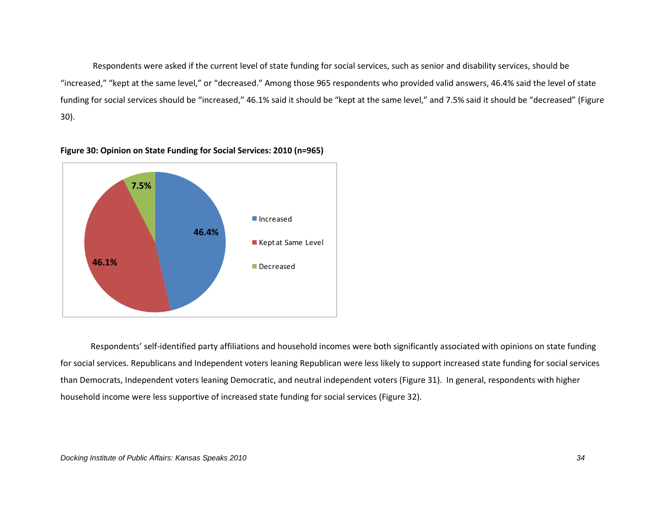Respondents were asked if the current level of state funding for social services, such as senior and disability services, should be "increased," "kept at the same level," or "decreased." Among those 965 respondents who provided valid answers, 46.4% said the level of state funding for social services should be "increased," 46.1% said it should be "kept at the same level," and 7.5% said it should be "decreased" (Figure 30).



#### **Figure 30: Opinion on State Funding for Social Services: 2010 (n=965)**

Respondents' self-identified party affiliations and household incomes were both significantly associated with opinions on state funding for social services. Republicans and Independent voters leaning Republican were less likely to support increased state funding for social services than Democrats, Independent voters leaning Democratic, and neutral independent voters (Figure 31). In general, respondents with higher household income were less supportive of increased state funding for social services (Figure 32).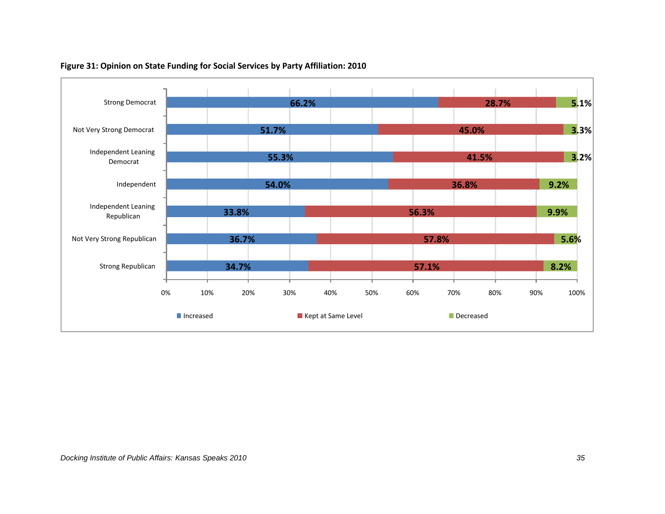

## **Figure 31: Opinion on State Funding for Social Services by Party Affiliation: 2010**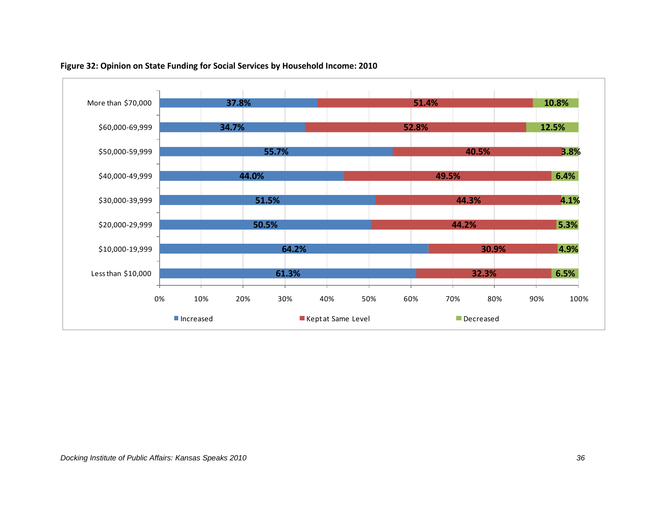

## **Figure 32: Opinion on State Funding for Social Services by Household Income: 2010**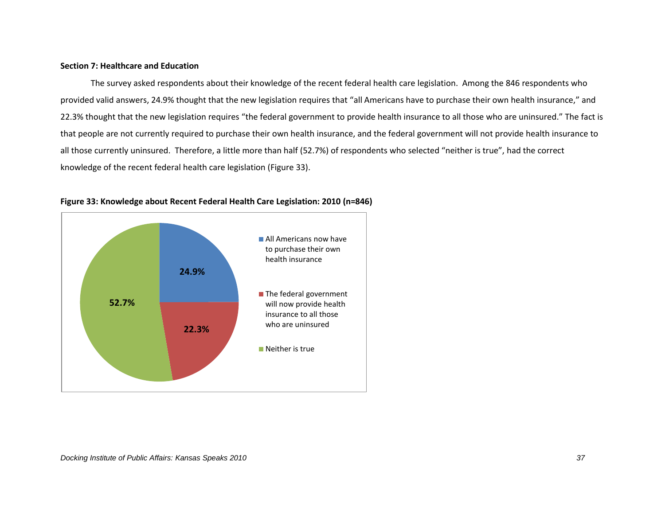#### **Section 7: Healthcare and Education**

The survey asked respondents about their knowledge of the recent federal health care legislation. Among the 846 respondents who provided valid answers, 24.9% thought that the new legislation requires that "all Americans have to purchase their own health insurance," and 22.3% thought that the new legislation requires "the federal government to provide health insurance to all those who are uninsured." The fact is that people are not currently required to purchase their own health insurance, and the federal government will not provide health insurance to all those currently uninsured. Therefore, a little more than half (52.7%) of respondents who selected "neither is true", had the correct knowledge of the recent federal health care legislation (Figure 33).



#### **Figure 33: Knowledge about Recent Federal Health Care Legislation: 2010 (n=846)**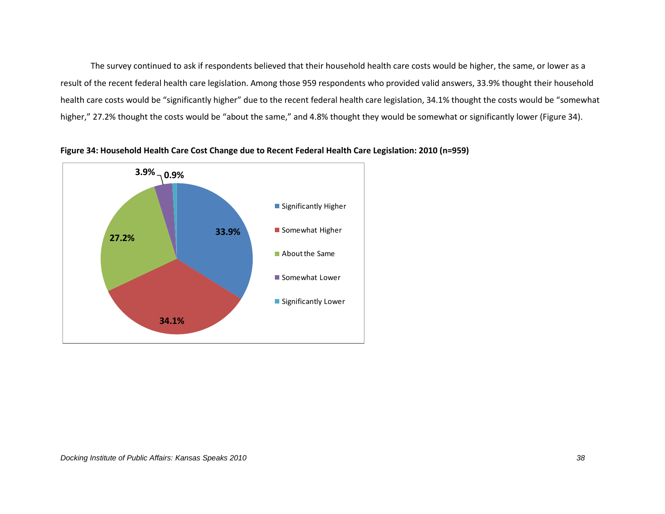The survey continued to ask if respondents believed that their household health care costs would be higher, the same, or lower as a result of the recent federal health care legislation. Among those 959 respondents who provided valid answers, 33.9% thought their household health care costs would be "significantly higher" due to the recent federal health care legislation, 34.1% thought the costs would be "somewhat higher," 27.2% thought the costs would be "about the same," and 4.8% thought they would be somewhat or significantly lower (Figure 34).



**Figure 34: Household Health Care Cost Change due to Recent Federal Health Care Legislation: 2010 (n=959)**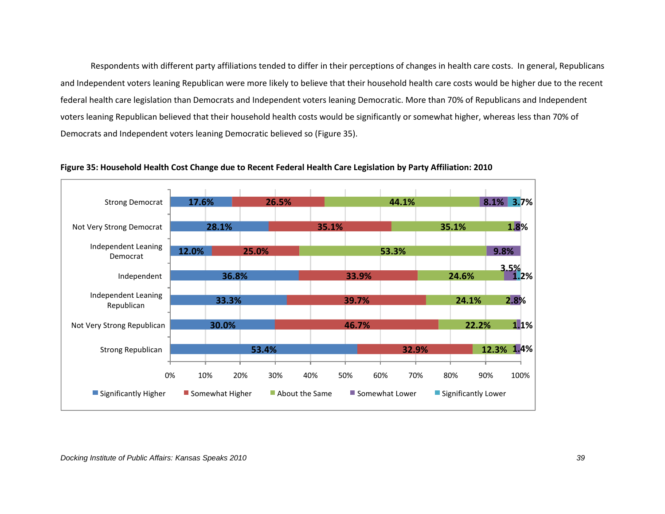Respondents with different party affiliations tended to differ in their perceptions of changes in health care costs. In general, Republicans and Independent voters leaning Republican were more likely to believe that their household health care costs would be higher due to the recent federal health care legislation than Democrats and Independent voters leaning Democratic. More than 70% of Republicans and Independent voters leaning Republican believed that their household health costs would be significantly or somewhat higher, whereas less than 70% of Democrats and Independent voters leaning Democratic believed so (Figure 35).



**Figure 35: Household Health Cost Change due to Recent Federal Health Care Legislation by Party Affiliation: 2010**

*Docking Institute of Public Affairs: Kansas Speaks 2010 39*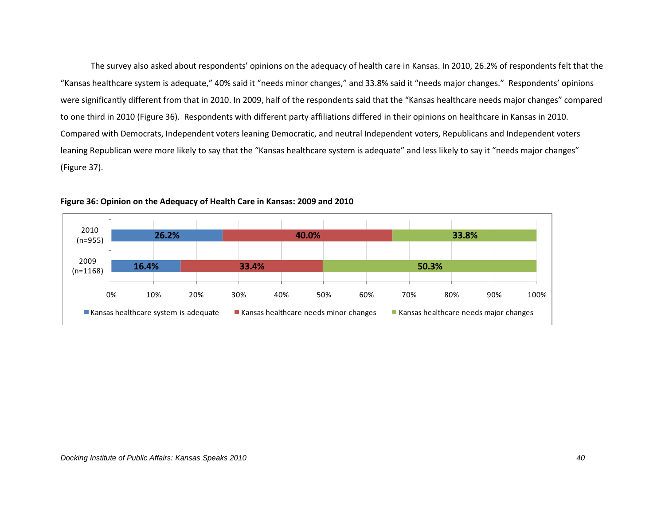The survey also asked about respondents' opinions on the adequacy of health care in Kansas. In 2010, 26.2% of respondents felt that the "Kansas healthcare system is adequate," 40% said it "needs minor changes," and 33.8% said it "needs major changes." Respondents' opinions were significantly different from that in 2010. In 2009, half of the respondents said that the "Kansas healthcare needs major changes" compared to one third in 2010 (Figure 36). Respondents with different party affiliations differed in their opinions on healthcare in Kansas in 2010. Compared with Democrats, Independent voters leaning Democratic, and neutral Independent voters, Republicans and Independent voters leaning Republican were more likely to say that the "Kansas healthcare system is adequate" and less likely to say it "needs major changes" (Figure 37).



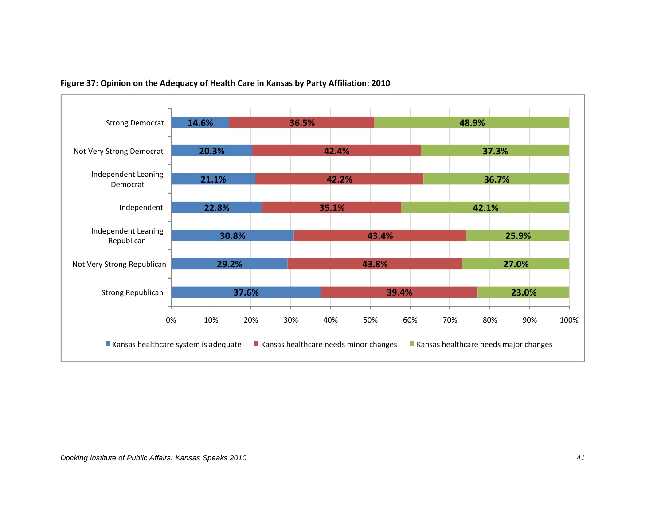

## **Figure 37: Opinion on the Adequacy of Health Care in Kansas by Party Affiliation: 2010**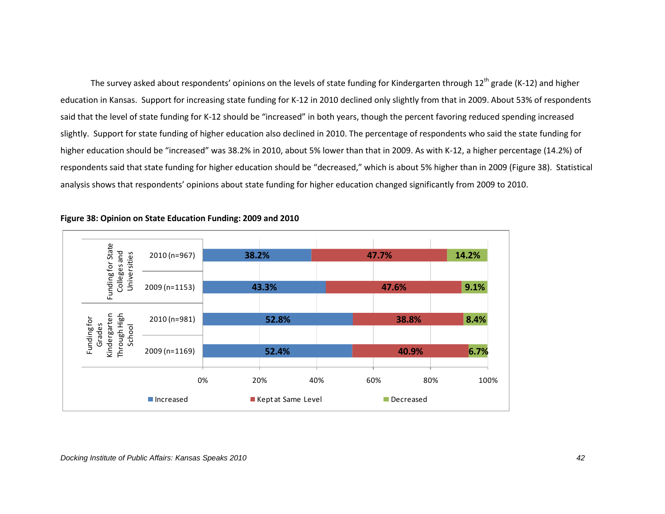The survey asked about respondents' opinions on the levels of state funding for Kindergarten through 12<sup>th</sup> grade (K-12) and higher education in Kansas. Support for increasing state funding for K-12 in 2010 declined only slightly from that in 2009. About 53% of respondents said that the level of state funding for K-12 should be "increased" in both years, though the percent favoring reduced spending increased slightly. Support for state funding of higher education also declined in 2010. The percentage of respondents who said the state funding for higher education should be "increased" was 38.2% in 2010, about 5% lower than that in 2009. As with K-12, a higher percentage (14.2%) of respondents said that state funding for higher education should be "decreased," which is about 5% higher than in 2009 (Figure 38). Statistical analysis shows that respondents' opinions about state funding for higher education changed significantly from 2009 to 2010.



#### **Figure 38: Opinion on State Education Funding: 2009 and 2010**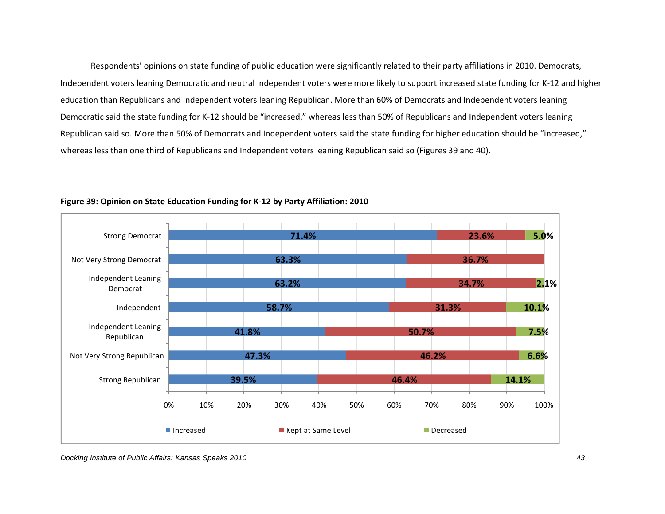Respondents' opinions on state funding of public education were significantly related to their party affiliations in 2010. Democrats, Independent voters leaning Democratic and neutral Independent voters were more likely to support increased state funding for K-12 and higher education than Republicans and Independent voters leaning Republican. More than 60% of Democrats and Independent voters leaning Democratic said the state funding for K-12 should be "increased," whereas less than 50% of Republicans and Independent voters leaning Republican said so. More than 50% of Democrats and Independent voters said the state funding for higher education should be "increased," whereas less than one third of Republicans and Independent voters leaning Republican said so (Figures 39 and 40).



#### **Figure 39: Opinion on State Education Funding for K-12 by Party Affiliation: 2010**

*Docking Institute of Public Affairs: Kansas Speaks 2010 43*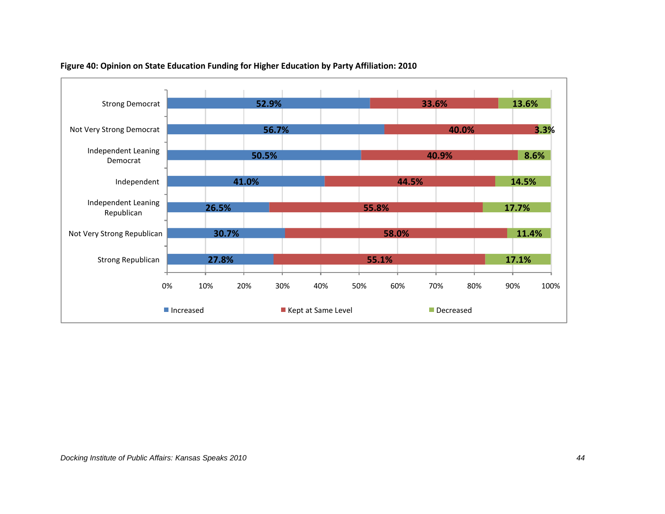

## **Figure 40: Opinion on State Education Funding for Higher Education by Party Affiliation: 2010**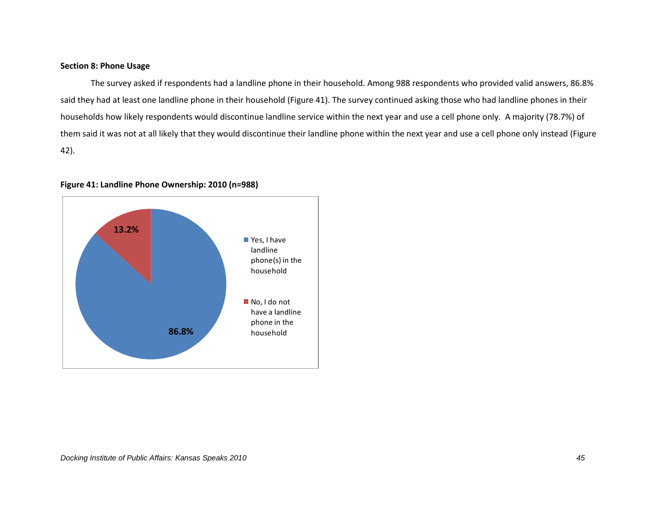#### **Section 8: Phone Usage**

The survey asked if respondents had a landline phone in their household. Among 988 respondents who provided valid answers, 86.8% said they had at least one landline phone in their household (Figure 41). The survey continued asking those who had landline phones in their households how likely respondents would discontinue landline service within the next year and use a cell phone only. A majority (78.7%) of them said it was not at all likely that they would discontinue their landline phone within the next year and use a cell phone only instead (Figure 42).



#### **Figure 41: Landline Phone Ownership: 2010 (n=988)**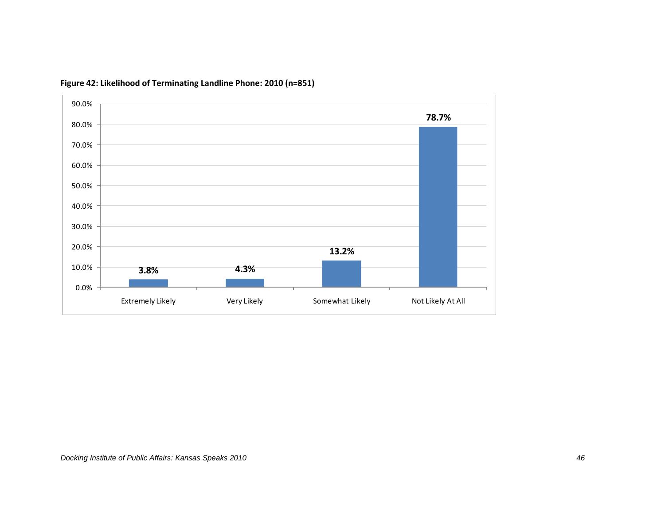

**Figure 42: Likelihood of Terminating Landline Phone: 2010 (n=851)**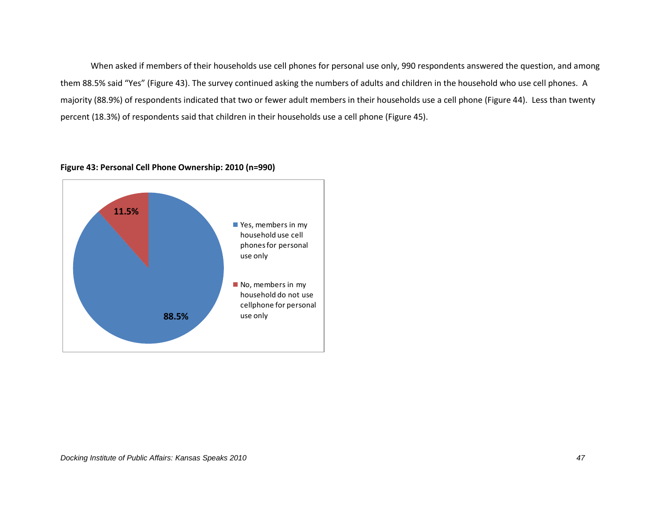When asked if members of their households use cell phones for personal use only, 990 respondents answered the question, and among them 88.5% said "Yes" (Figure 43). The survey continued asking the numbers of adults and children in the household who use cell phones. A majority (88.9%) of respondents indicated that two or fewer adult members in their households use a cell phone (Figure 44). Less than twenty percent (18.3%) of respondents said that children in their households use a cell phone (Figure 45).



#### **Figure 43: Personal Cell Phone Ownership: 2010 (n=990)**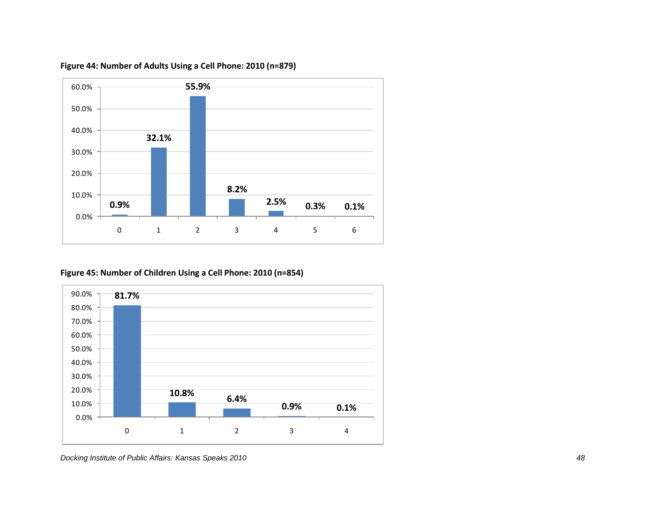

**Figure 44: Number of Adults Using a Cell Phone: 2010 (n=879)**

**Figure 45: Number of Children Using a Cell Phone: 2010 (n=854)**

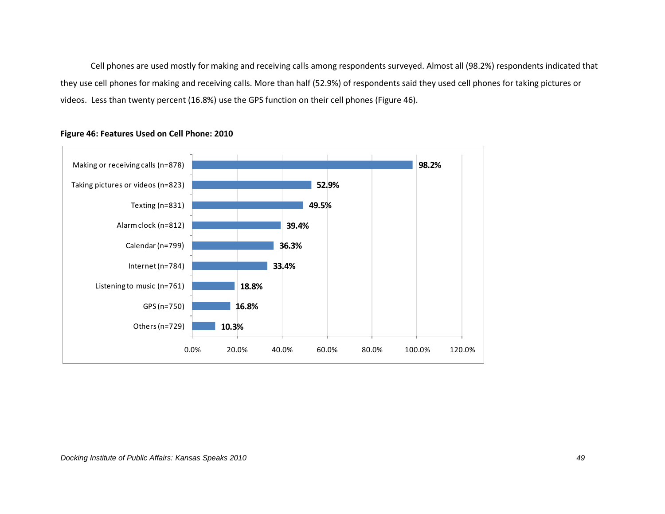Cell phones are used mostly for making and receiving calls among respondents surveyed. Almost all (98.2%) respondents indicated that they use cell phones for making and receiving calls. More than half (52.9%) of respondents said they used cell phones for taking pictures or videos. Less than twenty percent (16.8%) use the GPS function on their cell phones (Figure 46).



## **Figure 46: Features Used on Cell Phone: 2010**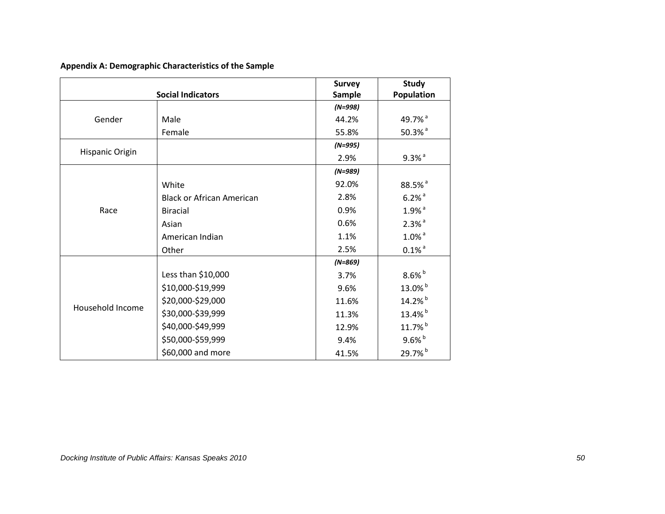| Appendix A: Demographic Characteristics of the Sample |  |  |  |
|-------------------------------------------------------|--|--|--|
|-------------------------------------------------------|--|--|--|

|                  |                                  | <b>Survey</b> | <b>Study</b>         |
|------------------|----------------------------------|---------------|----------------------|
|                  | <b>Social Indicators</b>         | <b>Sample</b> | <b>Population</b>    |
|                  |                                  | $(N=998)$     |                      |
| Gender           | Male                             | 44.2%         | 49.7% <sup>a</sup>   |
|                  | Female                           | 55.8%         | $50.3%$ <sup>a</sup> |
|                  |                                  | $(N=995)$     |                      |
| Hispanic Origin  |                                  | 2.9%          | $9.3\%$ <sup>a</sup> |
|                  |                                  | $(N=989)$     |                      |
|                  | White                            | 92.0%         | 88.5% <sup>a</sup>   |
|                  | <b>Black or African American</b> | 2.8%          | $6.2%$ <sup>a</sup>  |
| Race             | <b>Biracial</b>                  | 0.9%          | $1.9%$ <sup>a</sup>  |
|                  | Asian                            | 0.6%          | $2.3%$ <sup>a</sup>  |
|                  | American Indian                  | 1.1%          | $1.0\%$ <sup>a</sup> |
|                  | Other                            | 2.5%          | $0.1\%$ <sup>a</sup> |
|                  |                                  | $(N=869)$     |                      |
|                  | Less than \$10,000               | 3.7%          | $8.6\%$ <sup>b</sup> |
|                  | \$10,000-\$19,999                | 9.6%          | 13.0% <sup>b</sup>   |
|                  | \$20,000-\$29,000                | 11.6%         | 14.2% <sup>b</sup>   |
| Household Income | \$30,000-\$39,999                | 11.3%         | 13.4% <sup>b</sup>   |
|                  | \$40,000-\$49,999                | 12.9%         | 11.7% <sup>b</sup>   |
|                  | \$50,000-\$59,999                | 9.4%          | $9.6%$ <sub>b</sub>  |
|                  | \$60,000 and more                | 41.5%         | 29.7% <sup>b</sup>   |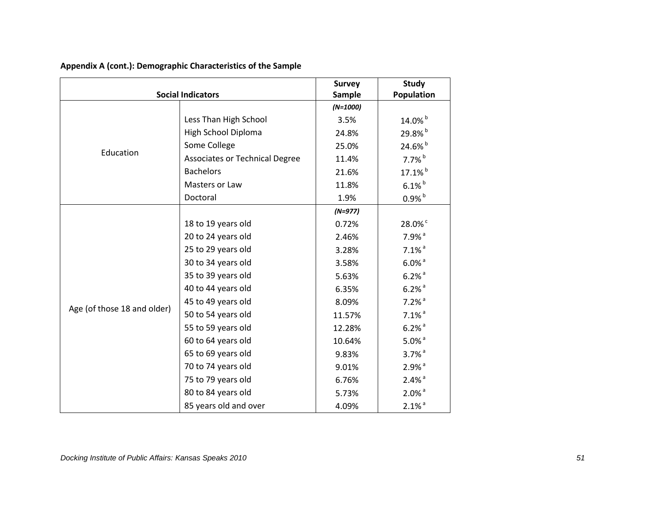|                             |                                       | <b>Survey</b> | Study                |
|-----------------------------|---------------------------------------|---------------|----------------------|
| <b>Social Indicators</b>    |                                       | Sample        | Population           |
|                             |                                       | $(N=1000)$    |                      |
|                             | Less Than High School                 | 3.5%          | 14.0% <sup>b</sup>   |
|                             | High School Diploma                   | 24.8%         | 29.8% <sup>b</sup>   |
| Education                   | Some College                          | 25.0%         | 24.6% <sup>b</sup>   |
|                             | <b>Associates or Technical Degree</b> | 11.4%         | $7.7%$ <sup>b</sup>  |
|                             | <b>Bachelors</b>                      | 21.6%         | 17.1% <sup>b</sup>   |
|                             | Masters or Law                        | 11.8%         | $6.1\%$              |
|                             | Doctoral                              | 1.9%          | $0.9%$ <sub>b</sub>  |
|                             |                                       | $(N=977)$     |                      |
|                             | 18 to 19 years old                    | 0.72%         | 28.0% <sup>c</sup>   |
|                             | 20 to 24 years old                    | 2.46%         | $7.9%$ <sup>a</sup>  |
|                             | 25 to 29 years old                    | 3.28%         | $7.1\%$ <sup>a</sup> |
|                             | 30 to 34 years old                    | 3.58%         | $6.0\%$ <sup>a</sup> |
|                             | 35 to 39 years old                    | 5.63%         | $6.2%$ <sup>a</sup>  |
|                             | 40 to 44 years old                    | 6.35%         | $6.2%$ <sup>a</sup>  |
|                             | 45 to 49 years old                    | 8.09%         | $7.2%$ <sup>a</sup>  |
| Age (of those 18 and older) | 50 to 54 years old                    | 11.57%        | $7.1\%$ <sup>a</sup> |
|                             | 55 to 59 years old                    | 12.28%        | $6.2%$ <sup>a</sup>  |
|                             | 60 to 64 years old                    | 10.64%        | $5.0\%$ <sup>a</sup> |
|                             | 65 to 69 years old                    | 9.83%         | $3.7%$ <sup>a</sup>  |
|                             | 70 to 74 years old                    | 9.01%         | $2.9%$ <sup>a</sup>  |
|                             | 75 to 79 years old                    | 6.76%         | $2.4%$ <sup>a</sup>  |
|                             | 80 to 84 years old                    | 5.73%         | $2.0\%$ <sup>a</sup> |
|                             | 85 years old and over                 | 4.09%         | $2.1\%$ <sup>a</sup> |

## **Appendix A (cont.): Demographic Characteristics of the Sample**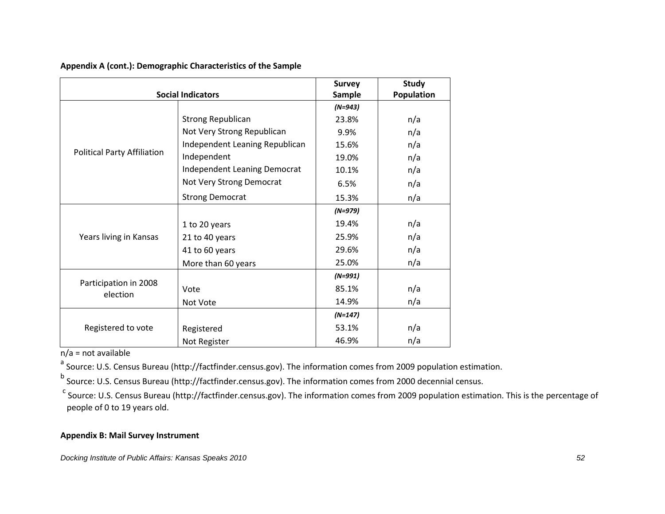|                                    | <b>Social Indicators</b>       | <b>Survey</b><br><b>Sample</b> | <b>Study</b><br>Population |
|------------------------------------|--------------------------------|--------------------------------|----------------------------|
|                                    |                                | $(N=943)$                      |                            |
|                                    | <b>Strong Republican</b>       | 23.8%                          | n/a                        |
|                                    | Not Very Strong Republican     | 9.9%                           | n/a                        |
|                                    | Independent Leaning Republican | 15.6%                          | n/a                        |
| <b>Political Party Affiliation</b> | Independent                    | 19.0%                          | n/a                        |
|                                    | Independent Leaning Democrat   | 10.1%                          | n/a                        |
|                                    | Not Very Strong Democrat       | 6.5%                           | n/a                        |
|                                    | <b>Strong Democrat</b>         | 15.3%                          | n/a                        |
|                                    |                                | $(N=979)$                      |                            |
|                                    | 1 to 20 years                  | 19.4%                          | n/a                        |
| Years living in Kansas             | 21 to 40 years                 | 25.9%                          | n/a                        |
|                                    | 41 to 60 years                 | 29.6%                          | n/a                        |
|                                    | More than 60 years             | 25.0%                          | n/a                        |
|                                    |                                | $(N=991)$                      |                            |
| Participation in 2008<br>election  | Vote                           | 85.1%                          | n/a                        |
|                                    | Not Vote                       | 14.9%                          | n/a                        |
|                                    |                                | $(N=147)$                      |                            |
| Registered to vote                 | Registered                     | 53.1%                          | n/a                        |
|                                    | Not Register                   | 46.9%                          | n/a                        |

**Appendix A (cont.): Demographic Characteristics of the Sample** 

 $n/a$  = not available

a<br><sup>a</sup> Source: U.S. Census Bureau (http://factfinder.census.gov). The information comes from 2009 population estimation.

<sup>b</sup> Source: U.S. Census Bureau (http://factfinder.census.gov). The information comes from 2000 decennial census.

<sup>c</sup> Source: U.S. Census Bureau (http://factfinder.census.gov). The information comes from 2009 population estimation. This is the percentage of people of 0 to 19 years old.

## **Appendix B: Mail Survey Instrument**

*Docking Institute of Public Affairs: Kansas Speaks 2010 52*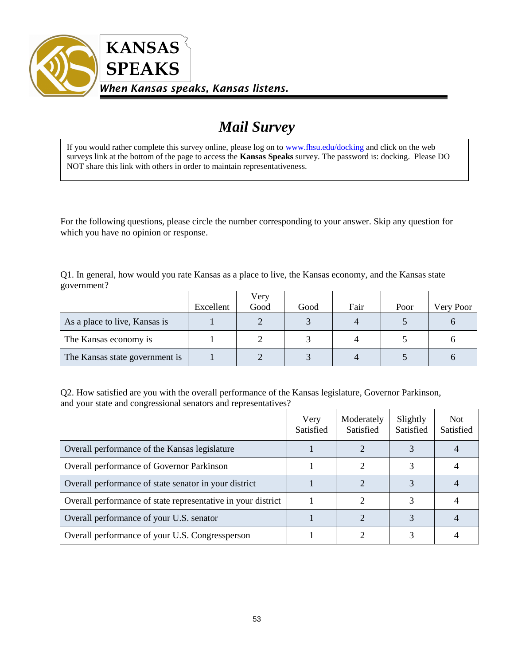

## *Mail Survey*

If you would rather complete this survey online, please log on to [www.fhsu.edu/docking](http://www.fhsu.edu/docking) and click on the web surveys link at the bottom of the page to access the **Kansas Speaks** survey. The password is: docking. Please DO NOT share this link with others in order to maintain representativeness.

For the following questions, please circle the number corresponding to your answer. Skip any question for which you have no opinion or response.

Q1. In general, how would you rate Kansas as a place to live, the Kansas economy, and the Kansas state government?

|                                |           | Very |      |      |      |           |
|--------------------------------|-----------|------|------|------|------|-----------|
|                                | Excellent | Good | Good | Fair | Poor | Very Poor |
| As a place to live, Kansas is  |           |      |      |      |      |           |
| The Kansas economy is          |           |      |      |      |      |           |
| The Kansas state government is |           |      |      |      |      |           |

Q2. How satisfied are you with the overall performance of the Kansas legislature, Governor Parkinson, and your state and congressional senators and representatives?

|                                                              | Very<br>Satisfied | Moderately<br>Satisfied | Slightly<br>Satisfied | <b>Not</b><br>Satisfied |
|--------------------------------------------------------------|-------------------|-------------------------|-----------------------|-------------------------|
| Overall performance of the Kansas legislature                |                   |                         |                       |                         |
| Overall performance of Governor Parkinson                    |                   |                         |                       |                         |
| Overall performance of state senator in your district        |                   |                         |                       |                         |
| Overall performance of state representative in your district |                   |                         |                       |                         |
| Overall performance of your U.S. senator                     |                   |                         |                       |                         |
| Overall performance of your U.S. Congressperson              |                   |                         |                       |                         |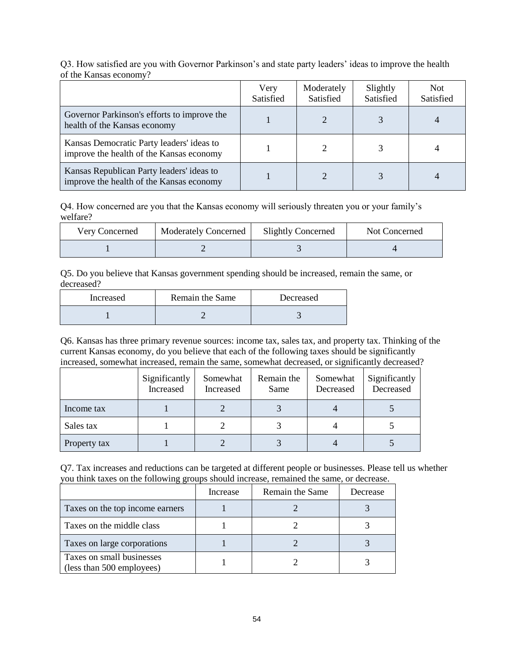|                                                                                       | Very<br>Satisfied | Moderately<br>Satisfied | Slightly<br>Satisfied | Not.<br>Satisfied |
|---------------------------------------------------------------------------------------|-------------------|-------------------------|-----------------------|-------------------|
| Governor Parkinson's efforts to improve the<br>health of the Kansas economy           |                   |                         |                       |                   |
| Kansas Democratic Party leaders' ideas to<br>improve the health of the Kansas economy |                   |                         |                       |                   |
| Kansas Republican Party leaders' ideas to<br>improve the health of the Kansas economy |                   |                         |                       |                   |

Q3. How satisfied are you with Governor Parkinson's and state party leaders' ideas to improve the health of the Kansas economy?

Q4. How concerned are you that the Kansas economy will seriously threaten you or your family's welfare?

| Very Concerned | <b>Moderately Concerned</b> | <b>Slightly Concerned</b> | Not Concerned |
|----------------|-----------------------------|---------------------------|---------------|
|                |                             |                           |               |

Q5. Do you believe that Kansas government spending should be increased, remain the same, or decreased?

| Increased | Remain the Same | Decreased |
|-----------|-----------------|-----------|
|           |                 |           |

Q6. Kansas has three primary revenue sources: income tax, sales tax, and property tax. Thinking of the current Kansas economy, do you believe that each of the following taxes should be significantly increased, somewhat increased, remain the same, somewhat decreased, or significantly decreased?

|              | Significantly<br>Increased | Somewhat<br>Increased | Remain the<br>Same | Somewhat<br>Decreased | Significantly<br>Decreased |
|--------------|----------------------------|-----------------------|--------------------|-----------------------|----------------------------|
| Income tax   |                            |                       |                    |                       |                            |
| Sales tax    |                            |                       |                    |                       |                            |
| Property tax |                            |                       |                    |                       |                            |

| Q7. Tax increases and reductions can be targeted at different people or businesses. Please tell us whether |  |
|------------------------------------------------------------------------------------------------------------|--|
| you think taxes on the following groups should increase, remained the same, or decrease.                   |  |

|                                                        | Increase | Remain the Same | Decrease |
|--------------------------------------------------------|----------|-----------------|----------|
| Taxes on the top income earners                        |          |                 |          |
| Taxes on the middle class                              |          |                 |          |
| Taxes on large corporations                            |          |                 |          |
| Taxes on small businesses<br>(less than 500 employees) |          |                 |          |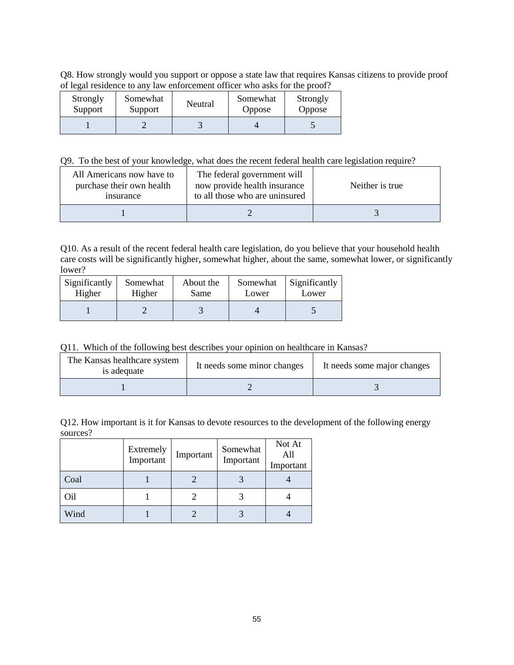Q8. How strongly would you support or oppose a state law that requires Kansas citizens to provide proof of legal residence to any law enforcement officer who asks for the proof?

| Strongly<br>Support | Somewhat<br>Support | Neutral | Somewhat<br><b>Oppose</b> | Strongly<br>Oppose |
|---------------------|---------------------|---------|---------------------------|--------------------|
|                     |                     |         |                           |                    |

Q9. To the best of your knowledge, what does the recent federal health care legislation require?

| All Americans now have to<br>purchase their own health<br><i>nsurance</i> | The federal government will<br>now provide health insurance<br>to all those who are uninsured | Neither is true |
|---------------------------------------------------------------------------|-----------------------------------------------------------------------------------------------|-----------------|
|                                                                           |                                                                                               |                 |

Q10. As a result of the recent federal health care legislation, do you believe that your household health care costs will be significantly higher, somewhat higher, about the same, somewhat lower, or significantly lower?

| Significantly | Somewhat | About the | Somewhat | Significantly |
|---------------|----------|-----------|----------|---------------|
| Higher        | Higher   | Same      | Lower    | Lower         |
|               |          |           |          |               |

Q11. Which of the following best describes your opinion on healthcare in Kansas?

| The Kansas healthcare system<br>is adequate | It needs some minor changes | It needs some major changes |
|---------------------------------------------|-----------------------------|-----------------------------|
|                                             |                             |                             |

Q12. How important is it for Kansas to devote resources to the development of the following energy sources?

|      | Extremely<br>Important | Important | Somewhat<br>Important | Not At<br>All<br>Important |
|------|------------------------|-----------|-----------------------|----------------------------|
| Coal |                        |           |                       |                            |
| Oil  |                        |           |                       |                            |
| Wind |                        |           |                       |                            |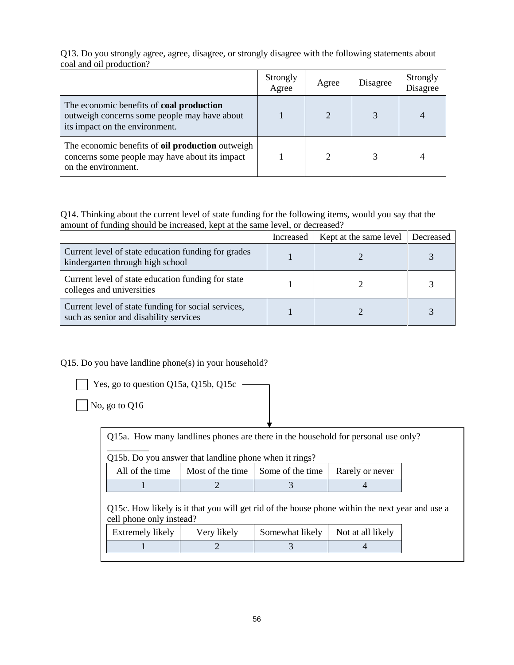Q13. Do you strongly agree, agree, disagree, or strongly disagree with the following statements about coal and oil production?

|                                                                                                                                   | Strongly<br>Agree | Agree | Disagree | Strongly<br>Disagree |
|-----------------------------------------------------------------------------------------------------------------------------------|-------------------|-------|----------|----------------------|
| The economic benefits of <b>coal production</b><br>outweigh concerns some people may have about<br>its impact on the environment. |                   |       |          |                      |
| The economic benefits of <b>oil production</b> outweigh<br>concerns some people may have about its impact<br>on the environment.  |                   |       |          |                      |

Q14. Thinking about the current level of state funding for the following items, would you say that the amount of funding should be increased, kept at the same level, or decreased?

|                                                                                               | Increased | Kept at the same level | Decreased |
|-----------------------------------------------------------------------------------------------|-----------|------------------------|-----------|
| Current level of state education funding for grades<br>kindergarten through high school       |           |                        |           |
| Current level of state education funding for state<br>colleges and universities               |           |                        |           |
| Current level of state funding for social services,<br>such as senior and disability services |           |                        |           |

Q15. Do you have landline phone(s) in your household?



Yes, go to question Q15a, Q15b, Q15c -

No, go to Q16

Q15a. How many landlines phones are there in the household for personal use only?

\_\_\_\_\_\_\_\_\_ Q15b. Do you answer that landline phone when it rings?

|  | All of the time   Most of the time   Some of the time   Rarely or never |  |
|--|-------------------------------------------------------------------------|--|
|  |                                                                         |  |

Q15c. How likely is it that you will get rid of the house phone within the next year and use a cell phone only instead?

| Extremely likely | Very likely | Somewhat likely   Not at all likely |  |
|------------------|-------------|-------------------------------------|--|
|                  |             |                                     |  |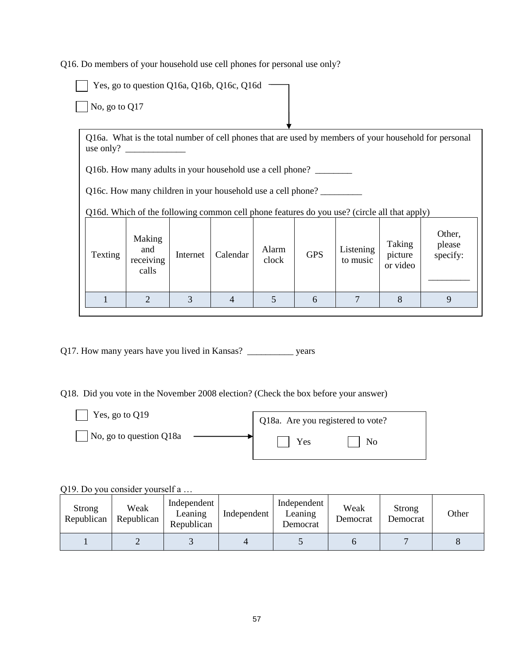Q16. Do members of your household use cell phones for personal use only?

Yes, go to question Q16a, Q16b, Q16c, Q16d No, go to Q17 Q16a. What is the total number of cell phones that are used by members of your household for personal use only? \_ Q16b. How many adults in your household use a cell phone? Q16c. How many children in your household use a cell phone? Q16d. Which of the following common cell phone features do you use? (circle all that apply) Texting Making and receiving calls Internet Calendar Alarm  $GPS$  Listening to music Taking picture or video Other, please specify: \_\_\_\_\_\_\_\_\_ 1 2 3 4 5 6 7 8 9

Q17. How many years have you lived in Kansas? \_\_\_\_\_\_\_\_\_\_ years

Q18. Did you vote in the November 2008 election? (Check the box before your answer)

| Yes, go to Q19          | Q18a. Are you registered to vote? |  |  |  |  |
|-------------------------|-----------------------------------|--|--|--|--|
| No, go to question Q18a | Yes<br>N <sub>0</sub>             |  |  |  |  |

Q19. Do you consider yourself a …

| Strong<br>Republican | Weak<br>Republican | Independent<br>Leaning<br>Republican | Independent | Independent<br>Leaning<br>Democrat | Weak<br>Democrat | Strong<br>Democrat | Other |
|----------------------|--------------------|--------------------------------------|-------------|------------------------------------|------------------|--------------------|-------|
|                      |                    |                                      |             |                                    |                  |                    |       |